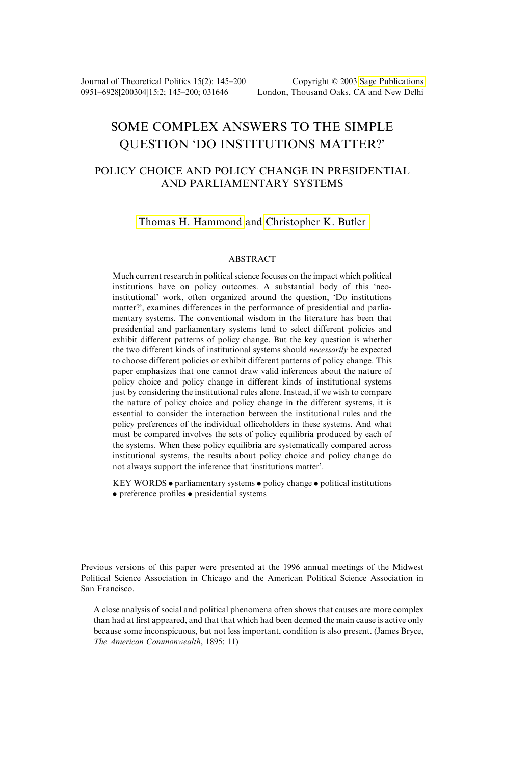# SOME COMPLEX ANSWERS TO THE SIMPLE **QUESTION 'DO INSTITUTIONS MATTER?'**

# POLICY CHOICE AND POLICY CHANGE IN PRESIDENTIAL AND PARLIAMENTARY SYSTEMS

### Thomas H. Hammond and Christopher K. Butler

#### **ARSTRACT**

Much current research in political science focuses on the impact which political institutions have on policy outcomes. A substantial body of this 'neoinstitutional' work, often organized around the question, 'Do institutions matter?', examines differences in the performance of presidential and parliamentary systems. The conventional wisdom in the literature has been that presidential and parliamentary systems tend to select different policies and exhibit different patterns of policy change. But the key question is whether the two different kinds of institutional systems should necessarily be expected to choose different policies or exhibit different patterns of policy change. This paper emphasizes that one cannot draw valid inferences about the nature of policy choice and policy change in different kinds of institutional systems just by considering the institutional rules alone. Instead, if we wish to compare the nature of policy choice and policy change in the different systems, it is essential to consider the interaction between the institutional rules and the policy preferences of the individual officeholders in these systems. And what must be compared involves the sets of policy equilibria produced by each of the systems. When these policy equilibria are systematically compared across institutional systems, the results about policy choice and policy change do not always support the inference that 'institutions matter'.

KEY WORDS . parliamentary systems . policy change . political institutions  $\bullet$  preference profiles  $\bullet$  presidential systems

Previous versions of this paper were presented at the 1996 annual meetings of the Midwest Political Science Association in Chicago and the American Political Science Association in San Francisco

A close analysis of social and political phenomena often shows that causes are more complex than had at first appeared, and that that which had been deemed the main cause is active only because some inconspicuous, but not less important, condition is also present. (James Bryce, The American Commonwealth, 1895: 11)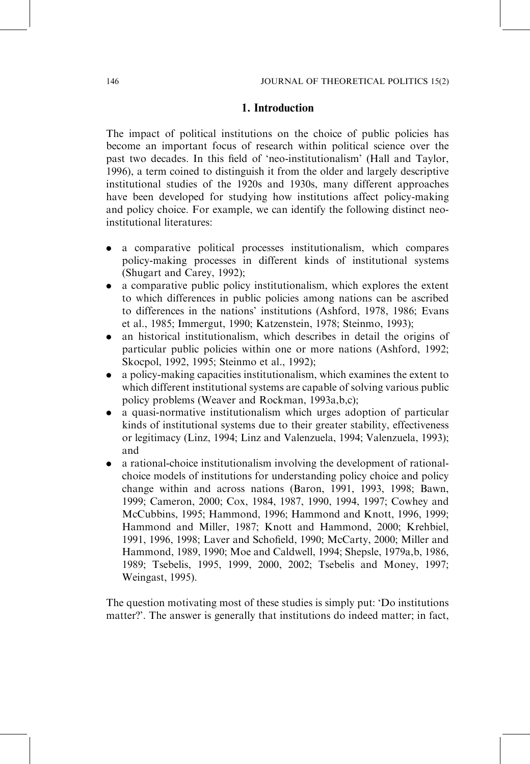### 1. Introduction

The impact of political institutions on the choice of public policies has become an important focus of research within political science over the past two decades. In this field of 'neo-institutionalism' (Hall and Taylor, 1996), a term coined to distinguish it from the older and largely descriptive institutional studies of the 1920s and 1930s, many different approaches have been developed for studying how institutions affect policy-making and policy choice. For example, we can identify the following distinct neoinstitutional literatures:

- a comparative political processes institutionalism, which compares policy-making processes in different kinds of institutional systems (Shugart and Carey, 1992);
- a comparative public policy institutionalism, which explores the extent to which differences in public policies among nations can be ascribed to differences in the nations' institutions (Ashford, 1978, 1986; Evans et al., 1985; Immergut, 1990; Katzenstein, 1978; Steinmo, 1993);
- an historical institutionalism, which describes in detail the origins of particular public policies within one or more nations (Ashford, 1992; Skocpol, 1992, 1995; Steinmo et al., 1992);
- a policy-making capacities institutionalism, which examines the extent to which different institutional systems are capable of solving various public policy problems (Weaver and Rockman, 1993a,b,c);
- a quasi-normative institutionalism which urges adoption of particular kinds of institutional systems due to their greater stability, effectiveness or legitimacy (Linz, 1994; Linz and Valenzuela, 1994; Valenzuela, 1993); and
- a rational-choice institutionalism involving the development of rationalchoice models of institutions for understanding policy choice and policy change within and across nations (Baron, 1991, 1993, 1998; Bawn, 1999; Cameron, 2000; Cox, 1984, 1987, 1990, 1994, 1997; Cowhey and McCubbins, 1995; Hammond, 1996; Hammond and Knott, 1996, 1999; Hammond and Miller, 1987; Knott and Hammond, 2000; Krehbiel, 1991, 1996, 1998; Laver and Schofield, 1990; McCarty, 2000; Miller and Hammond, 1989, 1990; Moe and Caldwell, 1994; Shepsle, 1979a,b, 1986, 1989; Tsebelis, 1995, 1999, 2000, 2002; Tsebelis and Money, 1997; Weingast, 1995).

The question motivating most of these studies is simply put: 'Do institutions' matter? The answer is generally that institutions do indeed matter; in fact,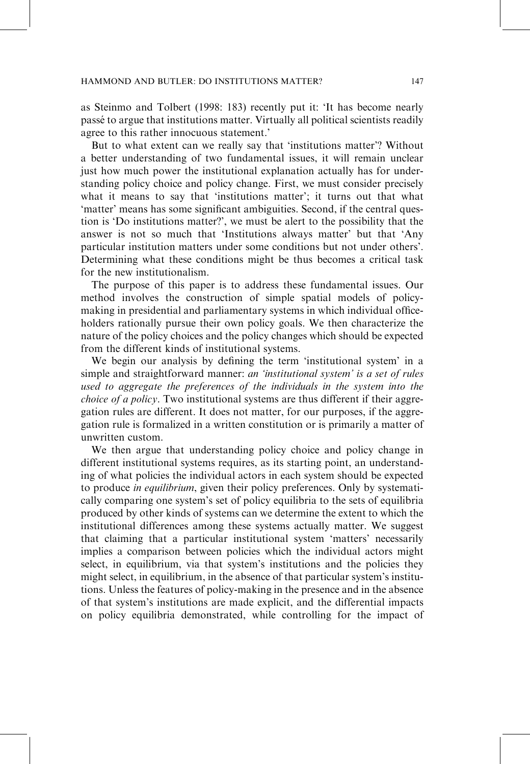as Steinmo and Tolbert (1998: 183) recently put it: 'It has become nearly passé to argue that institutions matter. Virtually all political scientists readily agree to this rather innocuous statement.'

But to what extent can we really say that 'institutions matter'? Without a better understanding of two fundamental issues, it will remain unclear just how much power the institutional explanation actually has for understanding policy choice and policy change. First, we must consider precisely what it means to say that 'institutions matter'; it turns out that what 'matter' means has some significant ambiguities. Second, if the central question is 'Do institutions matter?', we must be alert to the possibility that the answer is not so much that 'Institutions always matter' but that 'Any particular institution matters under some conditions but not under others'. Determining what these conditions might be thus becomes a critical task for the new institutionalism.

The purpose of this paper is to address these fundamental issues. Our method involves the construction of simple spatial models of policymaking in presidential and parliamentary systems in which individual officeholders rationally pursue their own policy goals. We then characterize the nature of the policy choices and the policy changes which should be expected from the different kinds of institutional systems.

We begin our analysis by defining the term 'institutional system' in a simple and straightforward manner: an 'institutional system' is a set of rules used to aggregate the preferences of the individuals in the system into the *choice of a policy*. Two institutional systems are thus different if their aggregation rules are different. It does not matter, for our purposes, if the aggregation rule is formalized in a written constitution or is primarily a matter of unwritten custom.

We then argue that understanding policy choice and policy change in different institutional systems requires, as its starting point, an understanding of what policies the individual actors in each system should be expected to produce *in equilibrium*, given their policy preferences. Only by systematically comparing one system's set of policy equilibria to the sets of equilibria produced by other kinds of systems can we determine the extent to which the institutional differences among these systems actually matter. We suggest that claiming that a particular institutional system 'matters' necessarily implies a comparison between policies which the individual actors might select, in equilibrium, via that system's institutions and the policies they might select, in equilibrium, in the absence of that particular system's institutions. Unless the features of policy-making in the presence and in the absence of that system's institutions are made explicit, and the differential impacts on policy equilibria demonstrated, while controlling for the impact of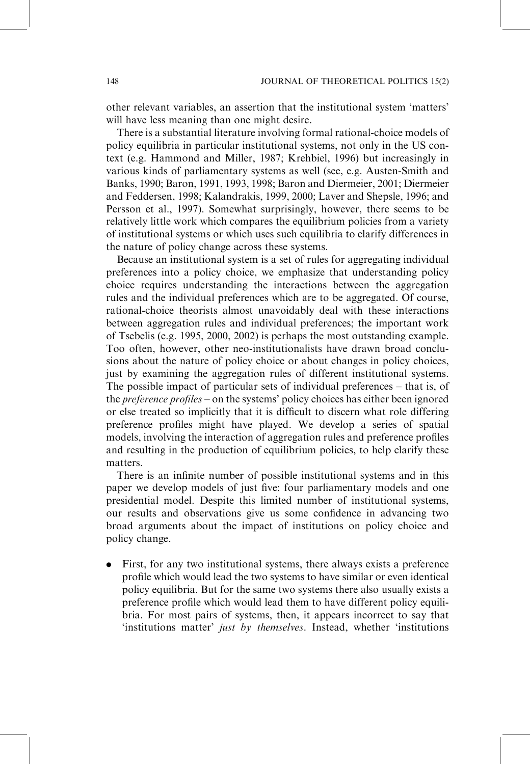other relevant variables, an assertion that the institutional system 'matters' will have less meaning than one might desire.

There is a substantial literature involving formal rational-choice models of policy equilibria in particular institutional systems, not only in the US context (e.g. Hammond and Miller, 1987; Krehbiel, 1996) but increasingly in various kinds of parliamentary systems as well (see, e.g. Austen-Smith and Banks, 1990; Baron, 1991, 1993, 1998; Baron and Diermeier, 2001; Diermeier and Feddersen, 1998; Kalandrakis, 1999, 2000; Laver and Shepsle, 1996; and Persson et al., 1997). Somewhat surprisingly, however, there seems to be relatively little work which compares the equilibrium policies from a variety of institutional systems or which uses such equilibria to clarify differences in the nature of policy change across these systems.

Because an institutional system is a set of rules for aggregating individual preferences into a policy choice, we emphasize that understanding policy choice requires understanding the interactions between the aggregation rules and the individual preferences which are to be aggregated. Of course, rational-choice theorists almost unavoidably deal with these interactions between aggregation rules and individual preferences; the important work of Tsebelis (e.g. 1995, 2000, 2002) is perhaps the most outstanding example. Too often, however, other neo-institutionalists have drawn broad conclusions about the nature of policy choice or about changes in policy choices, just by examining the aggregation rules of different institutional systems. The possible impact of particular sets of individual preferences  $-$  that is, of the *preference profiles* – on the systems' policy choices has either been ignored or else treated so implicitly that it is difficult to discern what role differing preference profiles might have played. We develop a series of spatial models, involving the interaction of aggregation rules and preference profiles and resulting in the production of equilibrium policies, to help clarify these matters.

There is an infinite number of possible institutional systems and in this paper we develop models of just five: four parliamentary models and one presidential model. Despite this limited number of institutional systems, our results and observations give us some confidence in advancing two broad arguments about the impact of institutions on policy choice and policy change.

First, for any two institutional systems, there always exists a preference profile which would lead the two systems to have similar or even identical policy equilibria. But for the same two systems there also usually exists a preference profile which would lead them to have different policy equilibria. For most pairs of systems, then, it appears incorrect to say that 'institutions matter' just by themselves. Instead, whether 'institutions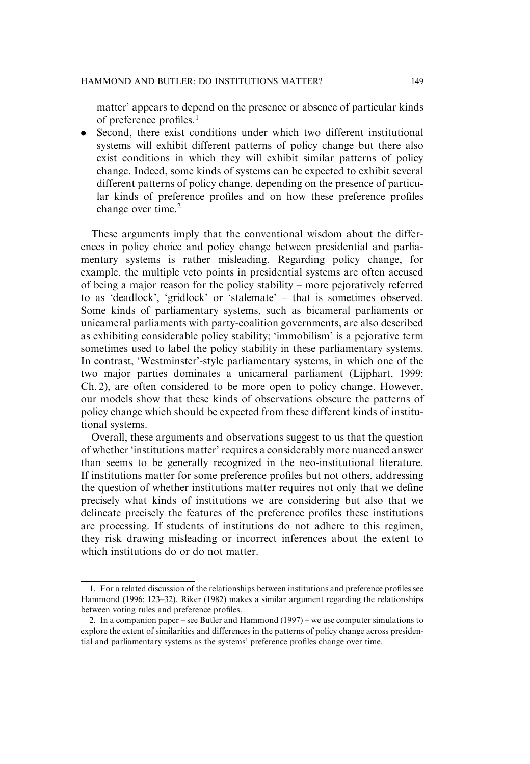matter' appears to depend on the presence or absence of particular kinds of preference profiles. $<sup>1</sup>$ </sup>

• Second, there exist conditions under which two different institutional systems will exhibit different patterns of policy change but there also exist conditions in which they will exhibit similar patterns of policy change. Indeed, some kinds of systems can be expected to exhibit several different patterns of policy change, depending on the presence of particular kinds of preference profiles and on how these preference profiles change over time.<sup>2</sup>

These arguments imply that the conventional wisdom about the differences in policy choice and policy change between presidential and parliamentary systems is rather misleading. Regarding policy change, for example, the multiple veto points in presidential systems are often accused of being a major reason for the policy stability – more pejoratively referred to as 'deadlock', 'gridlock' or 'stalemate' – that is sometimes observed. Some kinds of parliamentary systems, such as bicameral parliaments or unicameral parliaments with party-coalition governments, are also described as exhibiting considerable policy stability; 'immobilism' is a pejorative term sometimes used to label the policy stability in these parliamentary systems. In contrast, 'Westminster'-style parliamentary systems, in which one of the two major parties dominates a unicameral parliament (Lijphart, 1999: Ch. 2), are often considered to be more open to policy change. However, our models show that these kinds of observations obscure the patterns of policy change which should be expected from these different kinds of institutional systems.

Overall, these arguments and observations suggest to us that the question of whether 'institutions matter' requires a considerably more nuanced answer than seems to be generally recognized in the neo-institutional literature. If institutions matter for some preference profiles but not others, addressing the question of whether institutions matter requires not only that we define precisely what kinds of institutions we are considering but also that we delineate precisely the features of the preference profiles these institutions are processing. If students of institutions do not adhere to this regimen, they risk drawing misleading or incorrect inferences about the extent to which institutions do or do not matter.

<sup>1.</sup> For a related discussion of the relationships between institutions and preference profiles see Hammond (1996: 123–32). Riker (1982) makes a similar argument regarding the relationships between voting rules and preference profiles.

<sup>2.</sup> In a companion paper – see Butler and Hammond  $(1997)$  – we use computer simulations to explore the extent of similarities and differences in the patterns of policy change across presidential and parliamentary systems as the systems' preference profiles change over time.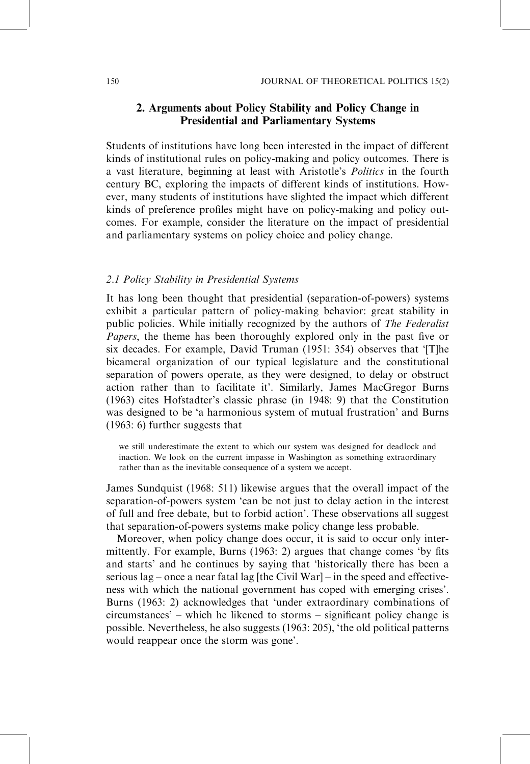# 2. Arguments about Policy Stability and Policy Change in **Presidential and Parliamentary Systems**

Students of institutions have long been interested in the impact of different kinds of institutional rules on policy-making and policy outcomes. There is a vast literature, beginning at least with Aristotle's Politics in the fourth century BC, exploring the impacts of different kinds of institutions. However, many students of institutions have slighted the impact which different kinds of preference profiles might have on policy-making and policy outcomes. For example, consider the literature on the impact of presidential and parliamentary systems on policy choice and policy change.

### 2.1 Policy Stability in Presidential Systems

It has long been thought that presidential (separation-of-powers) systems exhibit a particular pattern of policy-making behavior: great stability in public policies. While initially recognized by the authors of *The Federalist Papers*, the theme has been thoroughly explored only in the past five or six decades. For example, David Truman (1951: 354) observes that '[T]he bicameral organization of our typical legislature and the constitutional separation of powers operate, as they were designed, to delay or obstruct action rather than to facilitate it'. Similarly, James MacGregor Burns (1963) cites Hofstadter's classic phrase (in 1948: 9) that the Constitution was designed to be 'a harmonious system of mutual frustration' and Burns  $(1963: 6)$  further suggests that

we still underestimate the extent to which our system was designed for deadlock and inaction. We look on the current impasse in Washington as something extraordinary rather than as the inevitable consequence of a system we accept.

James Sundquist (1968: 511) likewise argues that the overall impact of the separation-of-powers system 'can be not just to delay action in the interest of full and free debate, but to forbid action'. These observations all suggest that separation-of-powers systems make policy change less probable.

Moreover, when policy change does occur, it is said to occur only intermittently. For example, Burns (1963: 2) argues that change comes 'by fits and starts' and he continues by saying that 'historically there has been a serious  $lag$  – once a near fatal lag [the Civil War] – in the speed and effectiveness with which the national government has coped with emerging crises'. Burns (1963: 2) acknowledges that 'under extraordinary combinations of  $circumstances'$  – which he likened to storms – significant policy change is possible. Nevertheless, he also suggests (1963: 205), 'the old political patterns would reappear once the storm was gone'.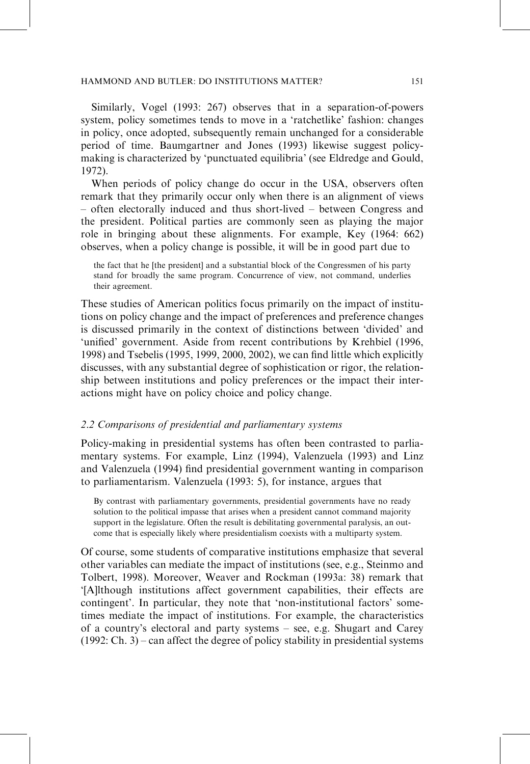Similarly, Vogel (1993: 267) observes that in a separation-of-powers system, policy sometimes tends to move in a 'ratchetlike' fashion: changes in policy, once adopted, subsequently remain unchanged for a considerable period of time. Baumgartner and Jones (1993) likewise suggest policymaking is characterized by 'punctuated equilibria' (see Eldredge and Gould, 1972).

When periods of policy change do occur in the USA, observers often remark that they primarily occur only when there is an alignment of views - often electorally induced and thus short-lived - between Congress and the president. Political parties are commonly seen as playing the major role in bringing about these alignments. For example, Key (1964: 662) observes, when a policy change is possible, it will be in good part due to

the fact that he [the president] and a substantial block of the Congressmen of his party stand for broadly the same program. Concurrence of view, not command, underlies their agreement.

These studies of American politics focus primarily on the impact of institutions on policy change and the impact of preferences and preference changes is discussed primarily in the context of distinctions between 'divided' and 'unified' government. Aside from recent contributions by Krehbiel (1996, 1998) and Tsebelis (1995, 1999, 2000, 2002), we can find little which explicitly discusses, with any substantial degree of sophistication or rigor, the relationship between institutions and policy preferences or the impact their interactions might have on policy choice and policy change.

### 2.2 Comparisons of presidential and parliamentary systems

Policy-making in presidential systems has often been contrasted to parliamentary systems. For example, Linz (1994), Valenzuela (1993) and Linz and Valenzuela (1994) find presidential government wanting in comparison to parliamentarism. Valenzuela (1993: 5), for instance, argues that

By contrast with parliamentary governments, presidential governments have no ready solution to the political impasse that arises when a president cannot command majority support in the legislature. Often the result is debilitating governmental paralysis, an outcome that is especially likely where presidentialism coexists with a multiparty system.

Of course, some students of comparative institutions emphasize that several other variables can mediate the impact of institutions (see, e.g., Steinmo and Tolbert, 1998). Moreover, Weaver and Rockman (1993a: 38) remark that '[A]lthough institutions affect government capabilities, their effects are contingent'. In particular, they note that 'non-institutional factors' sometimes mediate the impact of institutions. For example, the characteristics of a country's electoral and party systems – see, e.g. Shugart and Carey  $(1992: Ch. 3)$  – can affect the degree of policy stability in presidential systems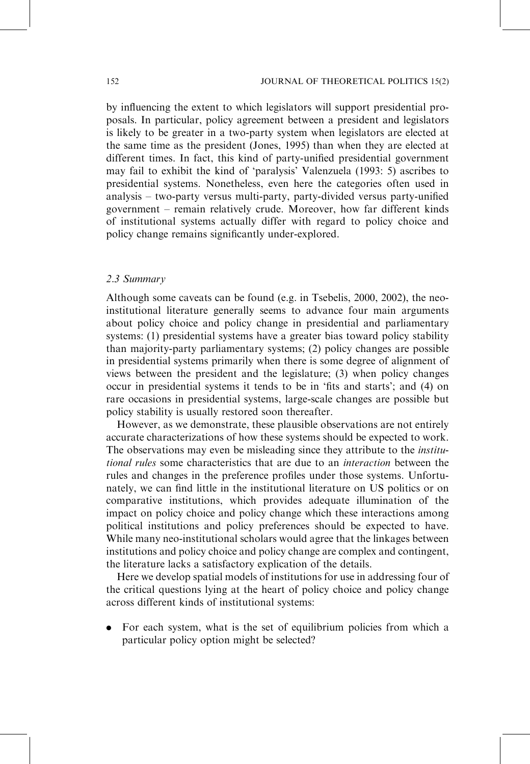by influencing the extent to which legislators will support presidential proposals. In particular, policy agreement between a president and legislators is likely to be greater in a two-party system when legislators are elected at the same time as the president (Jones, 1995) than when they are elected at different times. In fact, this kind of party-unified presidential government may fail to exhibit the kind of 'paralysis' Valenzuela (1993: 5) ascribes to presidential systems. Nonetheless, even here the categories often used in analysis - two-party versus multi-party, party-divided versus party-unified government – remain relatively crude. Moreover, how far different kinds of institutional systems actually differ with regard to policy choice and policy change remains significantly under-explored.

#### 2.3 Summary

Although some caveats can be found (e.g. in Tsebelis, 2000, 2002), the neoinstitutional literature generally seems to advance four main arguments about policy choice and policy change in presidential and parliamentary systems: (1) presidential systems have a greater bias toward policy stability than majority-party parliamentary systems; (2) policy changes are possible in presidential systems primarily when there is some degree of alignment of views between the president and the legislature; (3) when policy changes occur in presidential systems it tends to be in 'fits and starts'; and (4) on rare occasions in presidential systems, large-scale changes are possible but policy stability is usually restored soon thereafter.

However, as we demonstrate, these plausible observations are not entirely accurate characterizations of how these systems should be expected to work. The observations may even be misleading since they attribute to the *institutional rules* some characteristics that are due to an *interaction* between the rules and changes in the preference profiles under those systems. Unfortunately, we can find little in the institutional literature on US politics or on comparative institutions, which provides adequate illumination of the impact on policy choice and policy change which these interactions among political institutions and policy preferences should be expected to have. While many neo-institutional scholars would agree that the linkages between institutions and policy choice and policy change are complex and contingent, the literature lacks a satisfactory explication of the details.

Here we develop spatial models of institutions for use in addressing four of the critical questions lying at the heart of policy choice and policy change across different kinds of institutional systems:

For each system, what is the set of equilibrium policies from which a particular policy option might be selected?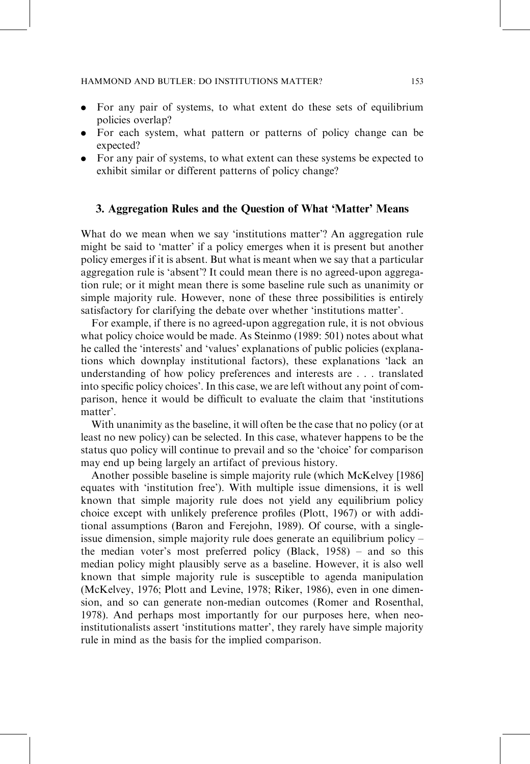- For any pair of systems, to what extent do these sets of equilibrium policies overlap?
- For each system, what pattern or patterns of policy change can be expected?
- For any pair of systems, to what extent can these systems be expected to exhibit similar or different patterns of policy change?

### 3. Aggregation Rules and the Question of What 'Matter' Means

What do we mean when we say 'institutions matter'? An aggregation rule might be said to 'matter' if a policy emerges when it is present but another policy emerges if it is absent. But what is meant when we say that a particular aggregation rule is 'absent'? It could mean there is no agreed-upon aggregation rule; or it might mean there is some baseline rule such as unanimity or simple majority rule. However, none of these three possibilities is entirely satisfactory for clarifying the debate over whether 'institutions matter'.

For example, if there is no agreed-upon aggregation rule, it is not obvious what policy choice would be made. As Steinmo (1989: 501) notes about what he called the 'interests' and 'values' explanations of public policies (explanations which downplay institutional factors), these explanations 'lack an understanding of how policy preferences and interests are . . . translated into specific policy choices'. In this case, we are left without any point of comparison, hence it would be difficult to evaluate the claim that 'institutions matter'.

With unanimity as the baseline, it will often be the case that no policy (or at least no new policy) can be selected. In this case, whatever happens to be the status quo policy will continue to prevail and so the 'choice' for comparison may end up being largely an artifact of previous history.

Another possible baseline is simple majority rule (which McKelvey [1986] equates with 'institution free'). With multiple issue dimensions, it is well known that simple majority rule does not yield any equilibrium policy choice except with unlikely preference profiles (Plott, 1967) or with additional assumptions (Baron and Ferejohn, 1989). Of course, with a singleissue dimension, simple majority rule does generate an equilibrium policy the median voter's most preferred policy (Black,  $1958$ ) – and so this median policy might plausibly serve as a baseline. However, it is also well known that simple majority rule is susceptible to agenda manipulation (McKelvey, 1976; Plott and Levine, 1978; Riker, 1986), even in one dimension, and so can generate non-median outcomes (Romer and Rosenthal, 1978). And perhaps most importantly for our purposes here, when neoinstitutionalists assert 'institutions matter', they rarely have simple majority rule in mind as the basis for the implied comparison.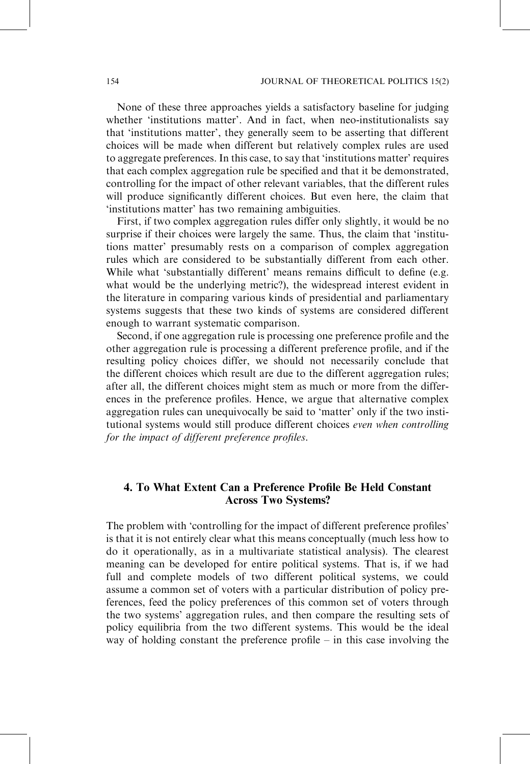None of these three approaches yields a satisfactory baseline for judging whether 'institutions matter'. And in fact, when neo-institutionalists say that 'institutions matter', they generally seem to be asserting that different choices will be made when different but relatively complex rules are used to aggregate preferences. In this case, to say that 'institutions matter' requires that each complex aggregation rule be specified and that it be demonstrated, controlling for the impact of other relevant variables, that the different rules will produce significantly different choices. But even here, the claim that 'institutions matter' has two remaining ambiguities.

First, if two complex aggregation rules differ only slightly, it would be no surprise if their choices were largely the same. Thus, the claim that 'institutions matter' presumably rests on a comparison of complex aggregation rules which are considered to be substantially different from each other. While what 'substantially different' means remains difficult to define (e.g. what would be the underlying metric?), the widespread interest evident in the literature in comparing various kinds of presidential and parliamentary systems suggests that these two kinds of systems are considered different enough to warrant systematic comparison.

Second, if one aggregation rule is processing one preference profile and the other aggregation rule is processing a different preference profile, and if the resulting policy choices differ, we should not necessarily conclude that the different choices which result are due to the different aggregation rules; after all, the different choices might stem as much or more from the differences in the preference profiles. Hence, we argue that alternative complex aggregation rules can unequivocally be said to 'matter' only if the two institutional systems would still produce different choices even when controlling for the impact of different preference profiles.

# 4. To What Extent Can a Preference Profile Be Held Constant **Across Two Systems?**

The problem with 'controlling for the impact of different preference profiles' is that it is not entirely clear what this means conceptually (much less how to do it operationally, as in a multivariate statistical analysis). The clearest meaning can be developed for entire political systems. That is, if we had full and complete models of two different political systems, we could assume a common set of voters with a particular distribution of policy preferences, feed the policy preferences of this common set of voters through the two systems' aggregation rules, and then compare the resulting sets of policy equilibria from the two different systems. This would be the ideal way of holding constant the preference profile  $-$  in this case involving the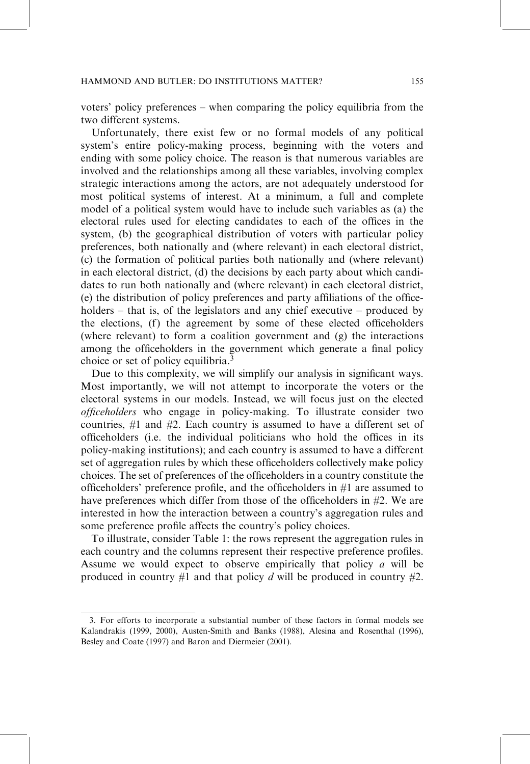voters' policy preferences – when comparing the policy equilibria from the two different systems.

Unfortunately, there exist few or no formal models of any political system's entire policy-making process, beginning with the voters and ending with some policy choice. The reason is that numerous variables are involved and the relationships among all these variables, involving complex strategic interactions among the actors, are not adequately understood for most political systems of interest. At a minimum, a full and complete model of a political system would have to include such variables as (a) the electoral rules used for electing candidates to each of the offices in the system, (b) the geographical distribution of voters with particular policy preferences, both nationally and (where relevant) in each electoral district, (c) the formation of political parties both nationally and (where relevant) in each electoral district, (d) the decisions by each party about which candidates to run both nationally and (where relevant) in each electoral district, (e) the distribution of policy preferences and party affiliations of the officeholders – that is, of the legislators and any chief executive – produced by the elections, (f) the agreement by some of these elected officeholders (where relevant) to form a coalition government and  $(g)$  the interactions among the officeholders in the government which generate a final policy choice or set of policy equilibria.<sup>3</sup>

Due to this complexity, we will simplify our analysis in significant ways. Most importantly, we will not attempt to incorporate the voters or the electoral systems in our models. Instead, we will focus just on the elected officeholders who engage in policy-making. To illustrate consider two countries,  $\#1$  and  $\#2$ . Each country is assumed to have a different set of officeholders (i.e. the individual politicians who hold the offices in its policy-making institutions); and each country is assumed to have a different set of aggregation rules by which these officeholders collectively make policy choices. The set of preferences of the officeholders in a country constitute the officeholders' preference profile, and the officeholders in  $#1$  are assumed to have preferences which differ from those of the officeholders in  $#2$ . We are interested in how the interaction between a country's aggregation rules and some preference profile affects the country's policy choices.

To illustrate, consider Table 1: the rows represent the aggregation rules in each country and the columns represent their respective preference profiles. Assume we would expect to observe empirically that policy *a* will be produced in country #1 and that policy d will be produced in country #2.

<sup>3.</sup> For efforts to incorporate a substantial number of these factors in formal models see Kalandrakis (1999, 2000), Austen-Smith and Banks (1988), Alesina and Rosenthal (1996), Besley and Coate (1997) and Baron and Diermeier (2001).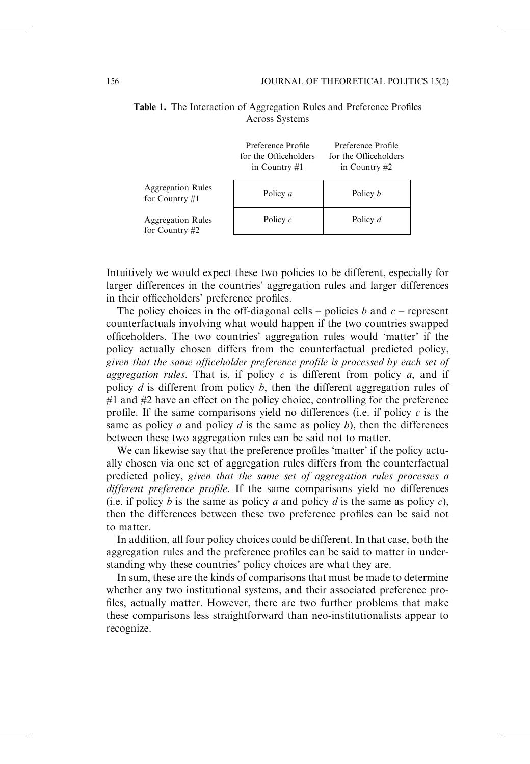|                                       | Preference Profile<br>for the Officeholders<br>in Country $#1$ | Preference Profile<br>for the Officeholders<br>in Country $#2$ |
|---------------------------------------|----------------------------------------------------------------|----------------------------------------------------------------|
| Aggregation Rules<br>for Country #1   | Policy a                                                       | Policy <i>b</i>                                                |
| Aggregation Rules<br>for Country $#2$ | Policy $c$                                                     | Policy d                                                       |

Table 1. The Interaction of Aggregation Rules and Preference Profiles **Across Systems** 

Intuitively we would expect these two policies to be different, especially for larger differences in the countries' aggregation rules and larger differences in their officeholders' preference profiles.

The policy choices in the off-diagonal cells – policies b and  $c$  – represent counterfactuals involving what would happen if the two countries swapped officeholders. The two countries' aggregation rules would 'matter' if the policy actually chosen differs from the counterfactual predicted policy, given that the same officeholder preference profile is processed by each set of aggregation rules. That is, if policy  $c$  is different from policy  $a$ , and if policy  $d$  is different from policy  $b$ , then the different aggregation rules of  $#1$  and  $#2$  have an effect on the policy choice, controlling for the preference profile. If the same comparisons yield no differences (i.e. if policy  $c$  is the same as policy *a* and policy *d* is the same as policy *b*), then the differences between these two aggregation rules can be said not to matter.

We can likewise say that the preference profiles 'matter' if the policy actually chosen via one set of aggregation rules differs from the counterfactual predicted policy, given that the same set of aggregation rules processes a different preference profile. If the same comparisons yield no differences (i.e. if policy b is the same as policy a and policy d is the same as policy c), then the differences between these two preference profiles can be said not to matter.

In addition, all four policy choices could be different. In that case, both the aggregation rules and the preference profiles can be said to matter in understanding why these countries' policy choices are what they are.

In sum, these are the kinds of comparisons that must be made to determine whether any two institutional systems, and their associated preference profiles, actually matter. However, there are two further problems that make these comparisons less straightforward than neo-institutionalists appear to recognize.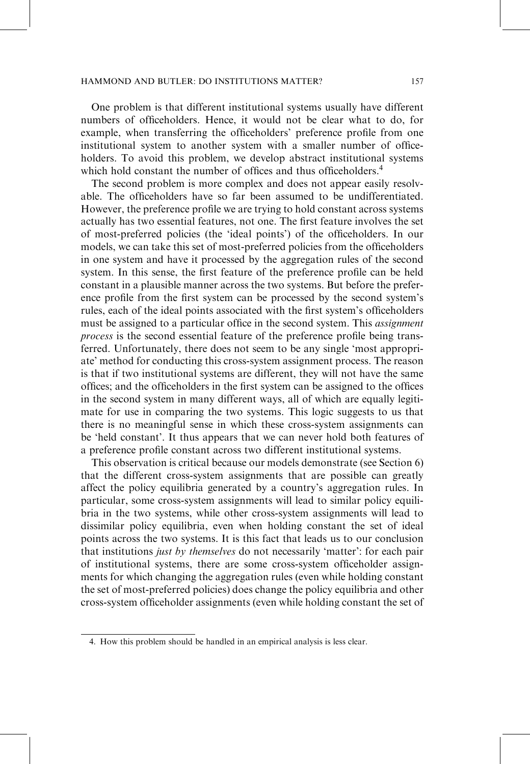One problem is that different institutional systems usually have different numbers of officeholders. Hence, it would not be clear what to do, for example, when transferring the officeholders' preference profile from one institutional system to another system with a smaller number of officeholders. To avoid this problem, we develop abstract institutional systems which hold constant the number of offices and thus officeholders.<sup>4</sup>

The second problem is more complex and does not appear easily resolvable. The officeholders have so far been assumed to be undifferentiated. However, the preference profile we are trying to hold constant across systems actually has two essential features, not one. The first feature involves the set of most-preferred policies (the 'ideal points') of the officeholders. In our models, we can take this set of most-preferred policies from the officeholders in one system and have it processed by the aggregation rules of the second system. In this sense, the first feature of the preference profile can be held constant in a plausible manner across the two systems. But before the preference profile from the first system can be processed by the second system's rules, each of the ideal points associated with the first system's officeholders must be assigned to a particular office in the second system. This *assignment process* is the second essential feature of the preference profile being transferred. Unfortunately, there does not seem to be any single 'most appropriate' method for conducting this cross-system assignment process. The reason is that if two institutional systems are different, they will not have the same offices; and the officeholders in the first system can be assigned to the offices in the second system in many different ways, all of which are equally legitimate for use in comparing the two systems. This logic suggests to us that there is no meaningful sense in which these cross-system assignments can be 'held constant'. It thus appears that we can never hold both features of a preference profile constant across two different institutional systems.

This observation is critical because our models demonstrate (see Section 6) that the different cross-system assignments that are possible can greatly affect the policy equilibria generated by a country's aggregation rules. In particular, some cross-system assignments will lead to similar policy equilibria in the two systems, while other cross-system assignments will lead to dissimilar policy equilibria, even when holding constant the set of ideal points across the two systems. It is this fact that leads us to our conclusion that institutions just by themselves do not necessarily 'matter': for each pair of institutional systems, there are some cross-system officeholder assignments for which changing the aggregation rules (even while holding constant the set of most-preferred policies) does change the policy equilibria and other cross-system officeholder assignments (even while holding constant the set of

<sup>4.</sup> How this problem should be handled in an empirical analysis is less clear.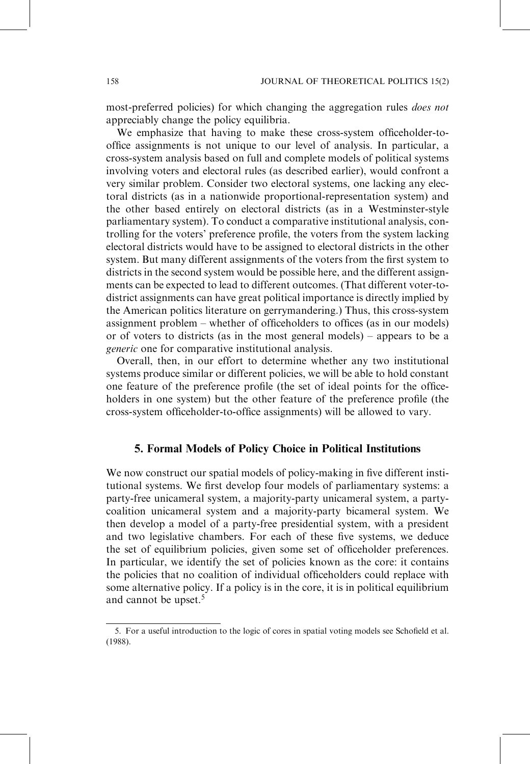most-preferred policies) for which changing the aggregation rules *does not* appreciably change the policy equilibria.

We emphasize that having to make these cross-system officeholder-tooffice assignments is not unique to our level of analysis. In particular, a cross-system analysis based on full and complete models of political systems involving voters and electoral rules (as described earlier), would confront a very similar problem. Consider two electoral systems, one lacking any electoral districts (as in a nationwide proportional-representation system) and the other based entirely on electoral districts (as in a Westminster-style parliamentary system). To conduct a comparative institutional analysis, controlling for the voters' preference profile, the voters from the system lacking electoral districts would have to be assigned to electoral districts in the other system. But many different assignments of the voters from the first system to districts in the second system would be possible here, and the different assignments can be expected to lead to different outcomes. (That different voter-todistrict assignments can have great political importance is directly implied by the American politics literature on gerrymandering.) Thus, this cross-system assignment problem – whether of officeholders to offices (as in our models) or of voters to districts (as in the most general models) – appears to be a *generic* one for comparative institutional analysis.

Overall, then, in our effort to determine whether any two institutional systems produce similar or different policies, we will be able to hold constant one feature of the preference profile (the set of ideal points for the officeholders in one system) but the other feature of the preference profile (the cross-system officeholder-to-office assignments) will be allowed to vary.

### 5. Formal Models of Policy Choice in Political Institutions

We now construct our spatial models of policy-making in five different institutional systems. We first develop four models of parliamentary systems: a party-free unicameral system, a majority-party unicameral system, a partycoalition unicameral system and a majority-party bicameral system. We then develop a model of a party-free presidential system, with a president and two legislative chambers. For each of these five systems, we deduce the set of equilibrium policies, given some set of officeholder preferences. In particular, we identify the set of policies known as the core: it contains the policies that no coalition of individual officeholders could replace with some alternative policy. If a policy is in the core, it is in political equilibrium and cannot be upset.<sup>5</sup>

<sup>5.</sup> For a useful introduction to the logic of cores in spatial voting models see Schofield et al.  $(1988).$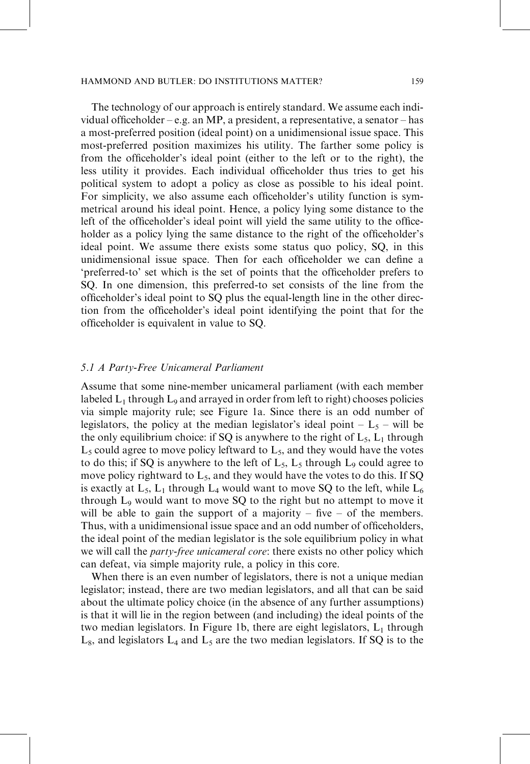The technology of our approach is entirely standard. We assume each individual officeholder – e.g. an MP, a president, a representative, a senator – has a most-preferred position (ideal point) on a unidimensional issue space. This most-preferred position maximizes his utility. The farther some policy is from the officeholder's ideal point (either to the left or to the right), the less utility it provides. Each individual officeholder thus tries to get his political system to adopt a policy as close as possible to his ideal point. For simplicity, we also assume each officeholder's utility function is symmetrical around his ideal point. Hence, a policy lying some distance to the left of the officeholder's ideal point will yield the same utility to the officeholder as a policy lying the same distance to the right of the officeholder's ideal point. We assume there exists some status quo policy, SQ, in this unidimensional issue space. Then for each officeholder we can define a 'preferred-to' set which is the set of points that the officeholder prefers to SQ. In one dimension, this preferred-to set consists of the line from the officeholder's ideal point to SQ plus the equal-length line in the other direction from the officeholder's ideal point identifying the point that for the officeholder is equivalent in value to SQ.

#### 5.1 A Party-Free Unicameral Parliament

Assume that some nine-member unicameral parliament (with each member labeled  $L_1$  through  $L_9$  and arrayed in order from left to right) chooses policies via simple majority rule; see Figure 1a. Since there is an odd number of legislators, the policy at the median legislator's ideal point  $-L_5$  – will be the only equilibrium choice: if SQ is anywhere to the right of  $L_5$ ,  $L_1$  through  $L_5$  could agree to move policy leftward to  $L_5$ , and they would have the votes to do this; if SQ is anywhere to the left of  $L_5$ ,  $L_5$  through  $L_9$  could agree to move policy rightward to  $L_5$ , and they would have the votes to do this. If SQ is exactly at  $L_5$ ,  $L_1$  through  $L_4$  would want to move SQ to the left, while  $L_6$ through L<sub>9</sub> would want to move SQ to the right but no attempt to move it will be able to gain the support of a majority – five – of the members. Thus, with a unidimensional issue space and an odd number of officeholders, the ideal point of the median legislator is the sole equilibrium policy in what we will call the *party-free unicameral core*: there exists no other policy which can defeat, via simple majority rule, a policy in this core.

When there is an even number of legislators, there is not a unique median legislator; instead, there are two median legislators, and all that can be said about the ultimate policy choice (in the absence of any further assumptions) is that it will lie in the region between (and including) the ideal points of the two median legislators. In Figure 1b, there are eight legislators,  $L_1$  through  $L_8$ , and legislators  $L_4$  and  $L_5$  are the two median legislators. If SQ is to the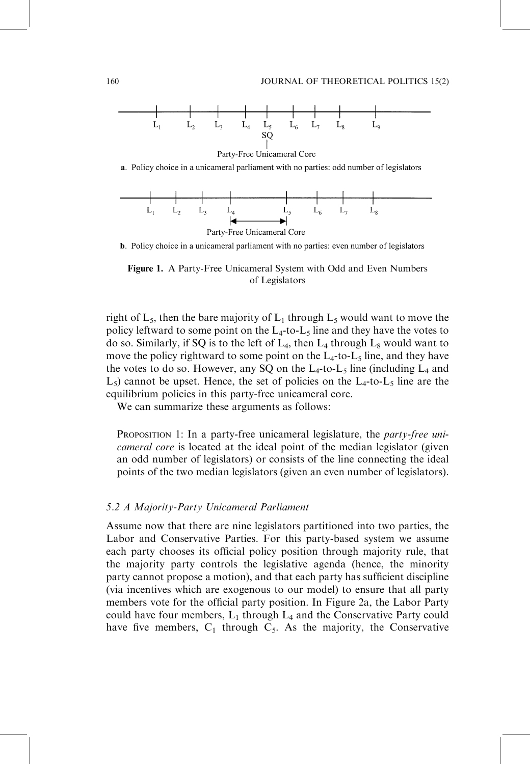

**b.** Policy choice in a unicameral parliament with no parties: even number of legislators

Figure 1. A Party-Free Unicameral System with Odd and Even Numbers of Legislators

right of  $L_5$ , then the bare majority of  $L_1$  through  $L_5$  would want to move the policy leftward to some point on the  $L_4$ -to- $L_5$  line and they have the votes to do so. Similarly, if SQ is to the left of  $L_4$ , then  $L_4$  through  $L_8$  would want to move the policy rightward to some point on the  $L_4$ -to- $L_5$  line, and they have the votes to do so. However, any SQ on the  $L_4$ -to- $L_5$  line (including  $L_4$  and  $L_5$ ) cannot be upset. Hence, the set of policies on the  $L_4$ -to- $L_5$  line are the equilibrium policies in this party-free unicameral core.

We can summarize these arguments as follows:

PROPOSITION 1: In a party-free unicameral legislature, the *party-free unicameral core* is located at the ideal point of the median legislator (given an odd number of legislators) or consists of the line connecting the ideal points of the two median legislators (given an even number of legislators).

### 5.2 A Majority-Party Unicameral Parliament

Assume now that there are nine legislators partitioned into two parties, the Labor and Conservative Parties. For this party-based system we assume each party chooses its official policy position through majority rule, that the majority party controls the legislative agenda (hence, the minority party cannot propose a motion), and that each party has sufficient discipline (via incentives which are exogenous to our model) to ensure that all party members vote for the official party position. In Figure 2a, the Labor Party could have four members,  $L_1$  through  $L_4$  and the Conservative Party could have five members,  $C_1$  through  $C_5$ . As the majority, the Conservative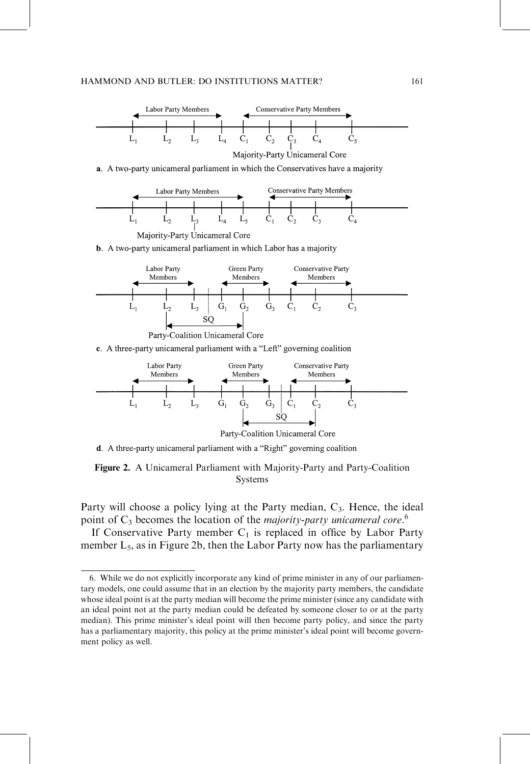



Party-Coalition Unicameral Core

c. A three-party unicameral parliament with a "Left" governing coalition



d. A three-party unicameral parliament with a "Right" governing coalition

Figure 2. A Unicameral Parliament with Majority-Party and Party-Coalition Systems

Party will choose a policy lying at the Party median,  $C_3$ . Hence, the ideal point of  $C_3$  becomes the location of the *majority-party unicameral core*.<sup>6</sup>

If Conservative Party member  $C_1$  is replaced in office by Labor Party member  $L_5$ , as in Figure 2b, then the Labor Party now has the parliamentary

<sup>6.</sup> While we do not explicitly incorporate any kind of prime minister in any of our parliamentary models, one could assume that in an election by the majority party members, the candidate whose ideal point is at the party median will become the prime minister (since any candidate with an ideal point not at the party median could be defeated by someone closer to or at the party median). This prime minister's ideal point will then become party policy, and since the party has a parliamentary majority, this policy at the prime minister's ideal point will become government policy as well.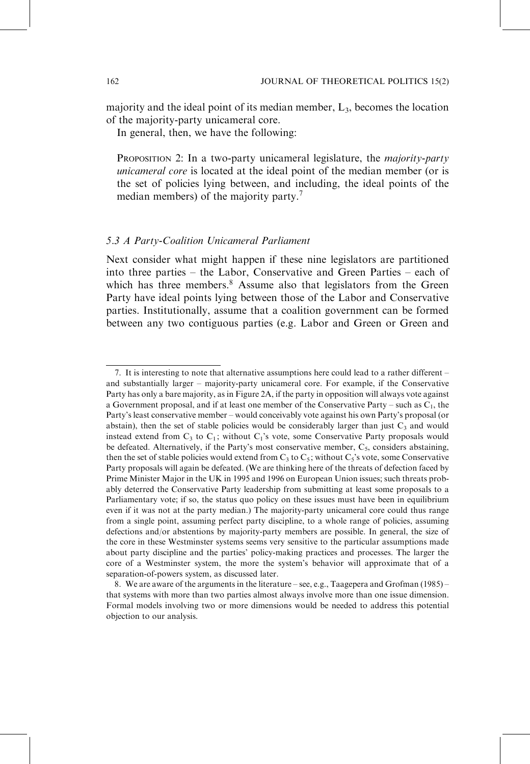majority and the ideal point of its median member,  $L_3$ , becomes the location of the majority-party unicameral core.

In general, then, we have the following:

PROPOSITION 2: In a two-party unicameral legislature, the *majority-party unicameral core* is located at the ideal point of the median member (or is the set of policies lying between, and including, the ideal points of the median members) of the majority party.<sup>7</sup>

#### 5.3 A Party-Coalition Unicameral Parliament

Next consider what might happen if these nine legislators are partitioned into three parties – the Labor, Conservative and Green Parties – each of which has three members.<sup>8</sup> Assume also that legislators from the Green Party have ideal points lying between those of the Labor and Conservative parties. Institutionally, assume that a coalition government can be formed between any two contiguous parties (e.g. Labor and Green or Green and

<sup>7.</sup> It is interesting to note that alternative assumptions here could lead to a rather different and substantially larger – majority-party unicameral core. For example, if the Conservative Party has only a bare majority, as in Figure 2A, if the party in opposition will always vote against a Government proposal, and if at least one member of the Conservative Party – such as  $C_1$ , the Party's least conservative member – would conceivably vote against his own Party's proposal (or abstain), then the set of stable policies would be considerably larger than just  $C_3$  and would instead extend from  $C_3$  to  $C_1$ ; without  $C_1$ 's vote, some Conservative Party proposals would be defeated. Alternatively, if the Party's most conservative member,  $C_5$ , considers abstaining, then the set of stable policies would extend from  $C_3$  to  $C_5$ ; without  $C_5$ 's vote, some Conservative Party proposals will again be defeated. (We are thinking here of the threats of defection faced by Prime Minister Major in the UK in 1995 and 1996 on European Union issues; such threats probably deterred the Conservative Party leadership from submitting at least some proposals to a Parliamentary vote; if so, the status quo policy on these issues must have been in equilibrium even if it was not at the party median.) The majority-party unicameral core could thus range from a single point, assuming perfect party discipline, to a whole range of policies, assuming defections and/or abstentions by majority-party members are possible. In general, the size of the core in these Westminster systems seems very sensitive to the particular assumptions made about party discipline and the parties' policy-making practices and processes. The larger the core of a Westminster system, the more the system's behavior will approximate that of a separation-of-powers system, as discussed later.

<sup>8.</sup> We are aware of the arguments in the literature – see, e.g., Taagepera and Grofman (1985) – that systems with more than two parties almost always involve more than one issue dimension. Formal models involving two or more dimensions would be needed to address this potential objection to our analysis.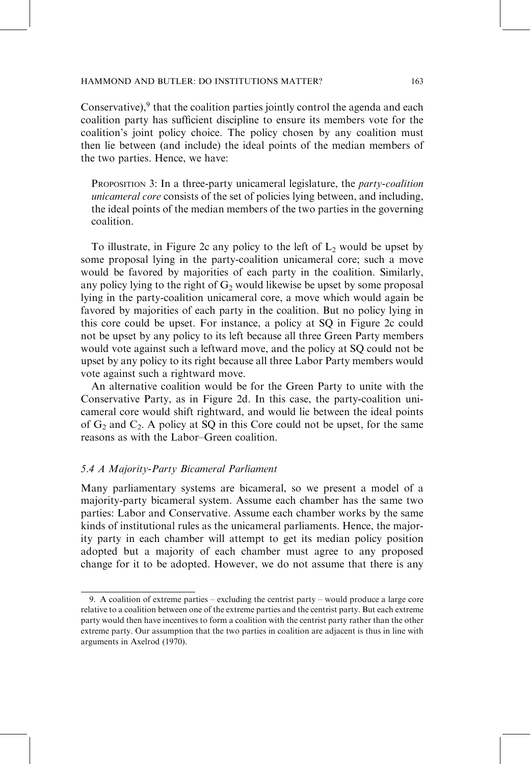Conservative), $9$  that the coalition parties jointly control the agenda and each coalition party has sufficient discipline to ensure its members vote for the coalition's joint policy choice. The policy chosen by any coalition must then lie between (and include) the ideal points of the median members of the two parties. Hence, we have:

PROPOSITION 3: In a three-party unicameral legislature, the *party-coalition* unicameral core consists of the set of policies lying between, and including, the ideal points of the median members of the two parties in the governing coalition.

To illustrate, in Figure 2c any policy to the left of  $L_2$  would be upset by some proposal lying in the party-coalition unicameral core; such a move would be favored by majorities of each party in the coalition. Similarly, any policy lying to the right of  $G_2$  would likewise be upset by some proposal lying in the party-coalition unicameral core, a move which would again be favored by majorities of each party in the coalition. But no policy lying in this core could be upset. For instance, a policy at SQ in Figure 2c could not be upset by any policy to its left because all three Green Party members would vote against such a leftward move, and the policy at SO could not be upset by any policy to its right because all three Labor Party members would vote against such a rightward move.

An alternative coalition would be for the Green Party to unite with the Conservative Party, as in Figure 2d. In this case, the party-coalition unicameral core would shift rightward, and would lie between the ideal points of  $G_2$  and  $C_2$ . A policy at SQ in this Core could not be upset, for the same reasons as with the Labor–Green coalition.

### 5.4 A Majority-Party Bicameral Parliament

Many parliamentary systems are bicameral, so we present a model of a majority-party bicameral system. Assume each chamber has the same two parties: Labor and Conservative. Assume each chamber works by the same kinds of institutional rules as the unicameral parliaments. Hence, the majority party in each chamber will attempt to get its median policy position adopted but a majority of each chamber must agree to any proposed change for it to be adopted. However, we do not assume that there is any

<sup>9.</sup> A coalition of extreme parties – excluding the centrist party – would produce a large core relative to a coalition between one of the extreme parties and the centrist party. But each extreme party would then have incentives to form a coalition with the centrist party rather than the other extreme party. Our assumption that the two parties in coalition are adjacent is thus in line with arguments in Axelrod (1970).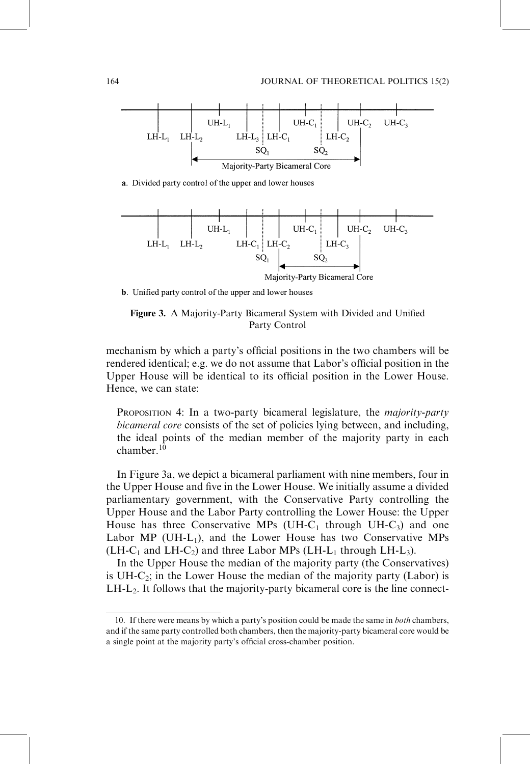

a. Divided party control of the upper and lower houses



b. Unified party control of the upper and lower houses

Figure 3. A Majority-Party Bicameral System with Divided and Unified Party Control

mechanism by which a party's official positions in the two chambers will be rendered identical; e.g. we do not assume that Labor's official position in the Upper House will be identical to its official position in the Lower House. Hence, we can state:

PROPOSITION 4: In a two-party bicameral legislature, the *majority-party bicameral core* consists of the set of policies lying between, and including, the ideal points of the median member of the majority party in each chamber. $10$ 

In Figure 3a, we depict a bicameral parliament with nine members, four in the Upper House and five in the Lower House. We initially assume a divided parliamentary government, with the Conservative Party controlling the Upper House and the Labor Party controlling the Lower House: the Upper House has three Conservative MPs (UH-C<sub>1</sub> through UH-C<sub>3</sub>) and one Labor MP ( $UH-L_1$ ), and the Lower House has two Conservative MPs  $(LH-C_1$  and  $LH-C_2$ ) and three Labor MPs (LH-L<sub>1</sub> through LH-L<sub>3</sub>).

In the Upper House the median of the majority party (the Conservatives) is UH- $C_2$ ; in the Lower House the median of the majority party (Labor) is  $LH-L<sub>2</sub>$ . It follows that the majority-party bicameral core is the line connect-

<sup>10.</sup> If there were means by which a party's position could be made the same in *both* chambers, and if the same party controlled both chambers, then the majority-party bicameral core would be a single point at the majority party's official cross-chamber position.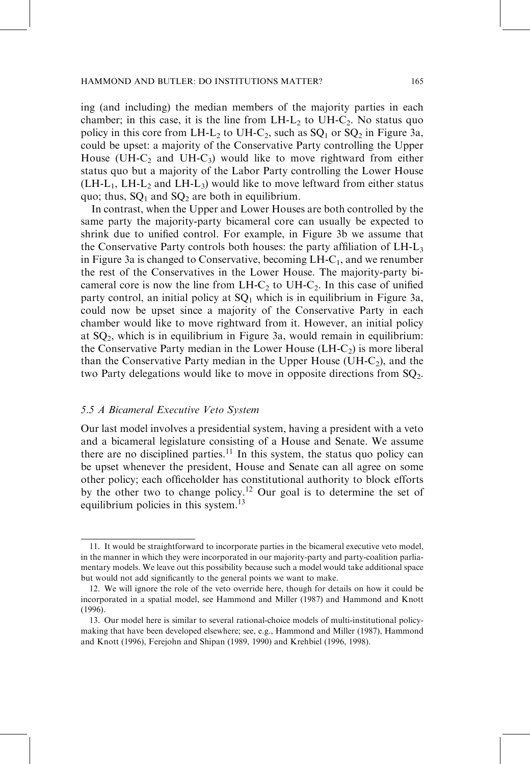ing (and including) the median members of the majority parties in each chamber; in this case, it is the line from  $LH-L_2$  to  $UH-C_2$ . No status quo policy in this core from LH-L<sub>2</sub> to UH-C<sub>2</sub>, such as  $SO_1$  or  $SO_2$  in Figure 3a, could be upset: a majority of the Conservative Party controlling the Upper House (UH- $C_2$  and UH- $C_3$ ) would like to move rightward from either status quo but a majority of the Labor Party controlling the Lower House  $(LH-L_1, LH-L_2)$  and  $LH-L_3$ ) would like to move leftward from either status quo; thus,  $SQ_1$  and  $SQ_2$  are both in equilibrium.

In contrast, when the Upper and Lower Houses are both controlled by the same party the majority-party bicameral core can usually be expected to shrink due to unified control. For example, in Figure 3b we assume that the Conservative Party controls both houses: the party affiliation of  $LH-L_3$ in Figure 3a is changed to Conservative, becoming  $LH-C<sub>1</sub>$ , and we renumber the rest of the Conservatives in the Lower House. The majority-party bicameral core is now the line from  $LH-C_2$  to  $UH-C_2$ . In this case of unified party control, an initial policy at  $SQ_1$  which is in equilibrium in Figure 3a, could now be upset since a majority of the Conservative Party in each chamber would like to move rightward from it. However, an initial policy at  $SQ_2$ , which is in equilibrium in Figure 3a, would remain in equilibrium: the Conservative Party median in the Lower House  $(LH-C<sub>2</sub>)$  is more liberal than the Conservative Party median in the Upper House (UH- $C_2$ ), and the two Party delegations would like to move in opposite directions from  $SQ_2$ .

#### 5.5 A Bicameral Executive Veto System

Our last model involves a presidential system, having a president with a veto and a bicameral legislature consisting of a House and Senate. We assume there are no disciplined parties.<sup>11</sup> In this system, the status quo policy can be upset whenever the president, House and Senate can all agree on some other policy; each officeholder has constitutional authority to block efforts by the other two to change policy.<sup>12</sup> Our goal is to determine the set of equilibrium policies in this system.<sup>13</sup>

<sup>11.</sup> It would be straightforward to incorporate parties in the bicameral executive veto model, in the manner in which they were incorporated in our majority-party and party-coalition parliamentary models. We leave out this possibility because such a model would take additional space but would not add significantly to the general points we want to make.

<sup>12.</sup> We will ignore the role of the veto override here, though for details on how it could be incorporated in a spatial model, see Hammond and Miller (1987) and Hammond and Knott  $(1996).$ 

<sup>13.</sup> Our model here is similar to several rational-choice models of multi-institutional policymaking that have been developed elsewhere; see, e.g., Hammond and Miller (1987), Hammond and Knott (1996), Ferejohn and Shipan (1989, 1990) and Krehbiel (1996, 1998).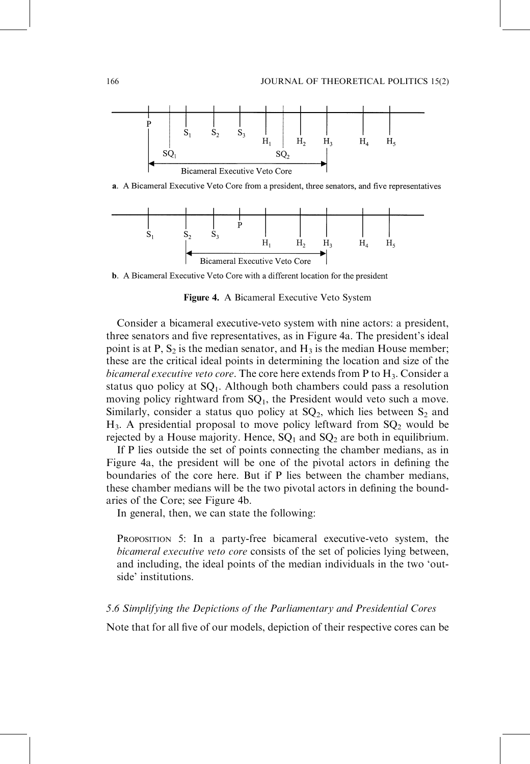

a. A Bicameral Executive Veto Core from a president, three senators, and five representatives



b. A Bicameral Executive Veto Core with a different location for the president

Figure 4. A Bicameral Executive Veto System

Consider a bicameral executive-veto system with nine actors: a president, three senators and five representatives, as in Figure 4a. The president's ideal point is at P,  $S_2$  is the median senator, and  $H_3$  is the median House member; these are the critical ideal points in determining the location and size of the bicameral executive veto core. The core here extends from P to  $H_3$ . Consider a status quo policy at SQ<sub>1</sub>. Although both chambers could pass a resolution moving policy rightward from SO<sub>1</sub>, the President would veto such a move. Similarly, consider a status quo policy at  $SQ_2$ , which lies between  $S_2$  and  $H_3$ . A presidential proposal to move policy leftward from  $SQ_2$  would be rejected by a House majority. Hence,  $SQ_1$  and  $SQ_2$  are both in equilibrium.

If P lies outside the set of points connecting the chamber medians, as in Figure 4a, the president will be one of the pivotal actors in defining the boundaries of the core here. But if P lies between the chamber medians, these chamber medians will be the two pivotal actors in defining the boundaries of the Core; see Figure 4b.

In general, then, we can state the following:

PROPOSITION 5: In a party-free bicameral executive-veto system, the *bicameral executive veto core* consists of the set of policies lying between, and including, the ideal points of the median individuals in the two 'outside' institutions

### 5.6 Simplifying the Depictions of the Parliamentary and Presidential Cores

Note that for all five of our models, depiction of their respective cores can be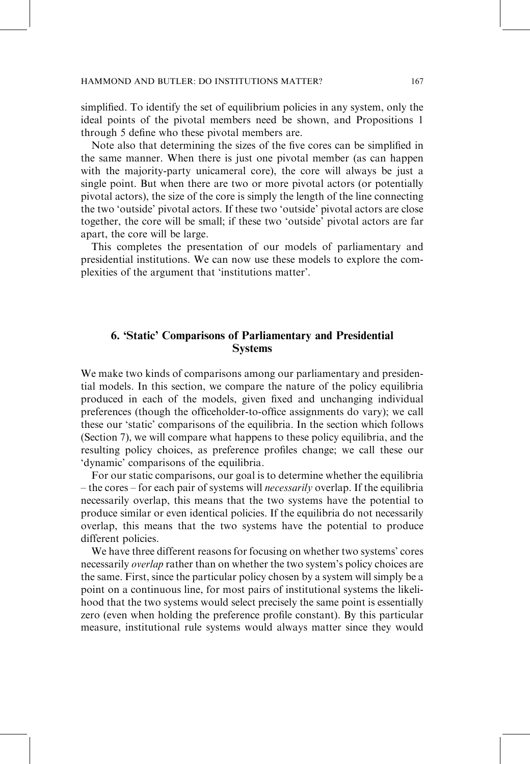simplified. To identify the set of equilibrium policies in any system, only the ideal points of the pivotal members need be shown, and Propositions 1 through 5 define who these pivotal members are.

Note also that determining the sizes of the five cores can be simplified in the same manner. When there is just one pivotal member (as can happen with the majority-party unicameral core), the core will always be just a single point. But when there are two or more pivotal actors (or potentially pivotal actors), the size of the core is simply the length of the line connecting the two 'outside' pivotal actors. If these two 'outside' pivotal actors are close together, the core will be small; if these two 'outside' pivotal actors are far apart, the core will be large.

This completes the presentation of our models of parliamentary and presidential institutions. We can now use these models to explore the complexities of the argument that 'institutions matter'.

# 6. 'Static' Comparisons of Parliamentary and Presidential **Systems**

We make two kinds of comparisons among our parliamentary and presidential models. In this section, we compare the nature of the policy equilibria produced in each of the models, given fixed and unchanging individual preferences (though the officeholder-to-office assignments do vary); we call these our 'static' comparisons of the equilibria. In the section which follows (Section 7), we will compare what happens to these policy equilibria, and the resulting policy choices, as preference profiles change; we call these our 'dynamic' comparisons of the equilibria.

For our static comparisons, our goal is to determine whether the equilibria - the cores – for each pair of systems will *necessarily* overlap. If the equilibria necessarily overlap, this means that the two systems have the potential to produce similar or even identical policies. If the equilibria do not necessarily overlap, this means that the two systems have the potential to produce different policies.

We have three different reasons for focusing on whether two systems' cores necessarily *overlap* rather than on whether the two system's policy choices are the same. First, since the particular policy chosen by a system will simply be a point on a continuous line, for most pairs of institutional systems the likelihood that the two systems would select precisely the same point is essentially zero (even when holding the preference profile constant). By this particular measure, institutional rule systems would always matter since they would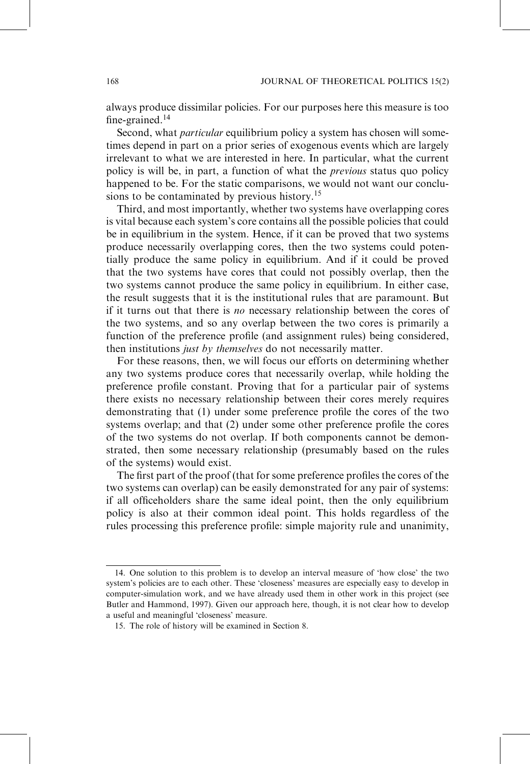always produce dissimilar policies. For our purposes here this measure is too fine-grained.<sup>14</sup>

Second, what *particular* equilibrium policy a system has chosen will sometimes depend in part on a prior series of exogenous events which are largely irrelevant to what we are interested in here. In particular, what the current policy is will be, in part, a function of what the *previous* status quo policy happened to be. For the static comparisons, we would not want our conclusions to be contaminated by previous history.<sup>15</sup>

Third, and most importantly, whether two systems have overlapping cores is vital because each system's core contains all the possible policies that could be in equilibrium in the system. Hence, if it can be proved that two systems produce necessarily overlapping cores, then the two systems could potentially produce the same policy in equilibrium. And if it could be proved that the two systems have cores that could not possibly overlap, then the two systems cannot produce the same policy in equilibrium. In either case, the result suggests that it is the institutional rules that are paramount. But if it turns out that there is no necessary relationship between the cores of the two systems, and so any overlap between the two cores is primarily a function of the preference profile (and assignment rules) being considered, then institutions *just by themselves* do not necessarily matter.

For these reasons, then, we will focus our efforts on determining whether any two systems produce cores that necessarily overlap, while holding the preference profile constant. Proving that for a particular pair of systems there exists no necessary relationship between their cores merely requires demonstrating that (1) under some preference profile the cores of the two systems overlap; and that (2) under some other preference profile the cores of the two systems do not overlap. If both components cannot be demonstrated, then some necessary relationship (presumably based on the rules of the systems) would exist.

The first part of the proof (that for some preference profiles the cores of the two systems can overlap) can be easily demonstrated for any pair of systems: if all officeholders share the same ideal point, then the only equilibrium policy is also at their common ideal point. This holds regardless of the rules processing this preference profile: simple majority rule and unanimity,

<sup>14.</sup> One solution to this problem is to develop an interval measure of 'how close' the two system's policies are to each other. These 'closeness' measures are especially easy to develop in computer-simulation work, and we have already used them in other work in this project (see Butler and Hammond, 1997). Given our approach here, though, it is not clear how to develop a useful and meaningful 'closeness' measure.

<sup>15.</sup> The role of history will be examined in Section 8.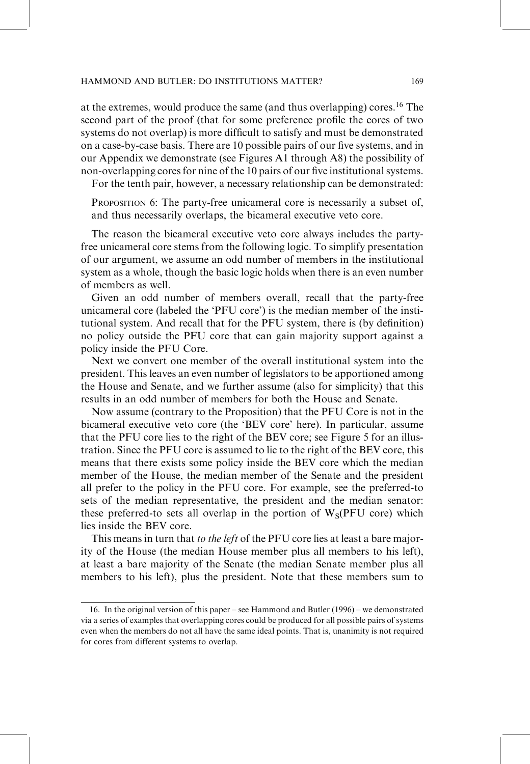at the extremes, would produce the same (and thus overlapping) cores.<sup>16</sup> The second part of the proof (that for some preference profile the cores of two systems do not overlap) is more difficult to satisfy and must be demonstrated on a case-by-case basis. There are 10 possible pairs of our five systems, and in our Appendix we demonstrate (see Figures A1 through A8) the possibility of non-overlapping cores for nine of the 10 pairs of our five institutional systems.

For the tenth pair, however, a necessary relationship can be demonstrated:

PROPOSITION 6: The party-free unicameral core is necessarily a subset of, and thus necessarily overlaps, the bicameral executive veto core.

The reason the bicameral executive veto core always includes the partyfree unicameral core stems from the following logic. To simplify presentation of our argument, we assume an odd number of members in the institutional system as a whole, though the basic logic holds when there is an even number of members as well.

Given an odd number of members overall, recall that the party-free unicameral core (labeled the 'PFU core') is the median member of the institutional system. And recall that for the PFU system, there is (by definition) no policy outside the PFU core that can gain majority support against a policy inside the PFU Core.

Next we convert one member of the overall institutional system into the president. This leaves an even number of legislators to be apportioned among the House and Senate, and we further assume (also for simplicity) that this results in an odd number of members for both the House and Senate.

Now assume (contrary to the Proposition) that the PFU Core is not in the bicameral executive veto core (the 'BEV core' here). In particular, assume that the PFU core lies to the right of the BEV core; see Figure 5 for an illustration. Since the PFU core is assumed to lie to the right of the BEV core, this means that there exists some policy inside the BEV core which the median member of the House, the median member of the Senate and the president all prefer to the policy in the PFU core. For example, see the preferred-to sets of the median representative, the president and the median senator: these preferred-to sets all overlap in the portion of  $W_S(PFU)$  core) which lies inside the BEV core.

This means in turn that to the left of the PFU core lies at least a bare majority of the House (the median House member plus all members to his left), at least a bare majority of the Senate (the median Senate member plus all members to his left), plus the president. Note that these members sum to

<sup>16.</sup> In the original version of this paper – see Hammond and Butler  $(1996)$  – we demonstrated via a series of examples that overlapping cores could be produced for all possible pairs of systems even when the members do not all have the same ideal points. That is, unanimity is not required for cores from different systems to overlap.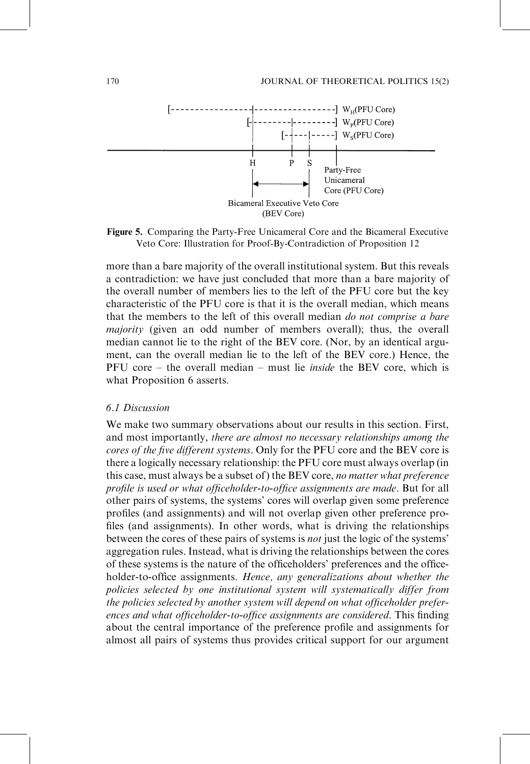

Figure 5. Comparing the Party-Free Unicameral Core and the Bicameral Executive Veto Core: Illustration for Proof-By-Contradiction of Proposition 12

more than a bare majority of the overall institutional system. But this reveals a contradiction: we have just concluded that more than a bare majority of the overall number of members lies to the left of the PFU core but the key characteristic of the PFU core is that it is the overall median, which means that the members to the left of this overall median *do not comprise a bare majority* (given an odd number of members overall); thus, the overall median cannot lie to the right of the BEV core. (Nor, by an identical argument, can the overall median lie to the left of the BEV core.) Hence, the PFU core – the overall median – must lie *inside* the BEV core, which is what Proposition 6 asserts.

### 6.1 Discussion

We make two summary observations about our results in this section. First, and most importantly, there are almost no necessary relationships among the cores of the five different systems. Only for the PFU core and the BEV core is there a logically necessary relationship: the PFU core must always overlap (in this case, must always be a subset of) the BEV core, no matter what preference profile is used or what officeholder-to-office assignments are made. But for all other pairs of systems, the systems' cores will overlap given some preference profiles (and assignments) and will not overlap given other preference profiles (and assignments). In other words, what is driving the relationships between the cores of these pairs of systems is *not* just the logic of the systems' aggregation rules. Instead, what is driving the relationships between the cores of these systems is the nature of the officeholders' preferences and the officeholder-to-office assignments. Hence, any generalizations about whether the policies selected by one institutional system will systematically differ from the policies selected by another system will depend on what officeholder preferences and what officeholder-to-office assignments are considered. This finding about the central importance of the preference profile and assignments for almost all pairs of systems thus provides critical support for our argument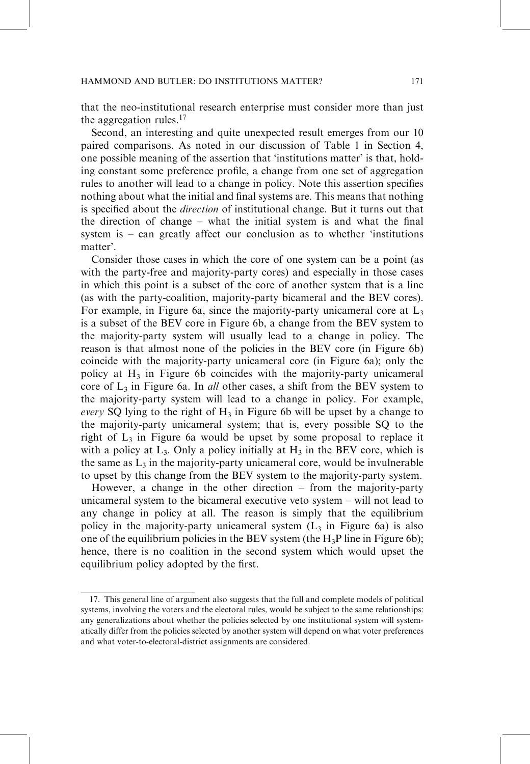that the neo-institutional research enterprise must consider more than just the aggregation rules.<sup>17</sup>

Second, an interesting and quite unexpected result emerges from our 10 paired comparisons. As noted in our discussion of Table 1 in Section 4. one possible meaning of the assertion that 'institutions matter' is that, holding constant some preference profile, a change from one set of aggregation rules to another will lead to a change in policy. Note this assertion specifies nothing about what the initial and final systems are. This means that nothing is specified about the *direction* of institutional change. But it turns out that the direction of change – what the initial system is and what the final system is  $-$  can greatly affect our conclusion as to whether 'institutions' matter'.

Consider those cases in which the core of one system can be a point (as with the party-free and majority-party cores) and especially in those cases in which this point is a subset of the core of another system that is a line (as with the party-coalition, majority-party bicameral and the BEV cores). For example, in Figure 6a, since the majority-party unicameral core at  $L_3$ is a subset of the BEV core in Figure 6b, a change from the BEV system to the majority-party system will usually lead to a change in policy. The reason is that almost none of the policies in the BEV core (in Figure 6b) coincide with the majority-party unicameral core (in Figure 6a); only the policy at H<sub>3</sub> in Figure 6b coincides with the majority-party unicameral core of  $L_3$  in Figure 6a. In *all* other cases, a shift from the BEV system to the majority-party system will lead to a change in policy. For example, every SQ lying to the right of  $H_3$  in Figure 6b will be upset by a change to the majority-party unicameral system; that is, every possible SQ to the right of  $L_3$  in Figure 6a would be upset by some proposal to replace it with a policy at  $L_3$ . Only a policy initially at  $H_3$  in the BEV core, which is the same as  $L_3$  in the majority-party unicameral core, would be invulnerable to upset by this change from the BEV system to the majority-party system.

However, a change in the other direction  $-$  from the majority-party unicameral system to the bicameral executive veto system - will not lead to any change in policy at all. The reason is simply that the equilibrium policy in the majority-party unicameral system  $(L_3$  in Figure 6a) is also one of the equilibrium policies in the BEV system (the  $H_3P$  line in Figure 6b); hence, there is no coalition in the second system which would upset the equilibrium policy adopted by the first.

<sup>17.</sup> This general line of argument also suggests that the full and complete models of political systems, involving the voters and the electoral rules, would be subject to the same relationships: any generalizations about whether the policies selected by one institutional system will systematically differ from the policies selected by another system will depend on what voter preferences and what voter-to-electoral-district assignments are considered.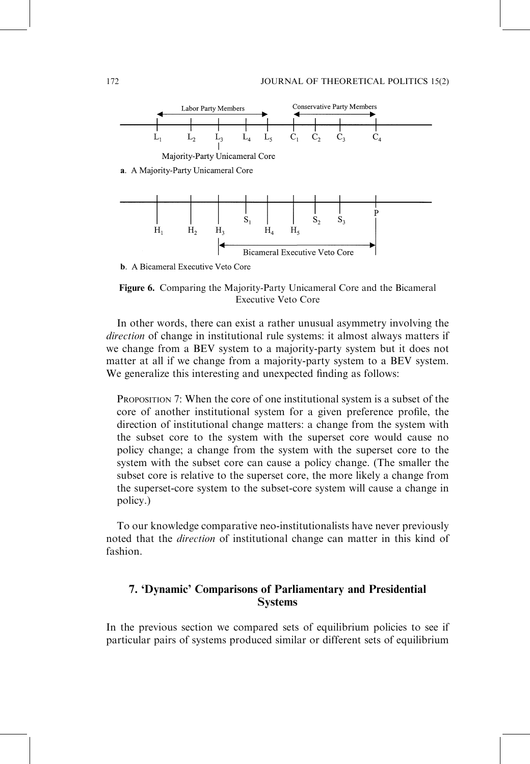

b. A Bicameral Executive Veto Core

Figure 6. Comparing the Majority-Party Unicameral Core and the Bicameral **Executive Veto Core** 

In other words, there can exist a rather unusual asymmetry involving the direction of change in institutional rule systems: it almost always matters if we change from a BEV system to a majority-party system but it does not matter at all if we change from a majority-party system to a BEV system. We generalize this interesting and unexpected finding as follows:

PROPOSITION 7: When the core of one institutional system is a subset of the core of another institutional system for a given preference profile, the direction of institutional change matters: a change from the system with the subset core to the system with the superset core would cause no policy change; a change from the system with the superset core to the system with the subset core can cause a policy change. (The smaller the subset core is relative to the superset core, the more likely a change from the superset-core system to the subset-core system will cause a change in policy.)

To our knowledge comparative neo-institutionalists have never previously noted that the *direction* of institutional change can matter in this kind of fashion.

# 7. 'Dynamic' Comparisons of Parliamentary and Presidential **Systems**

In the previous section we compared sets of equilibrium policies to see if particular pairs of systems produced similar or different sets of equilibrium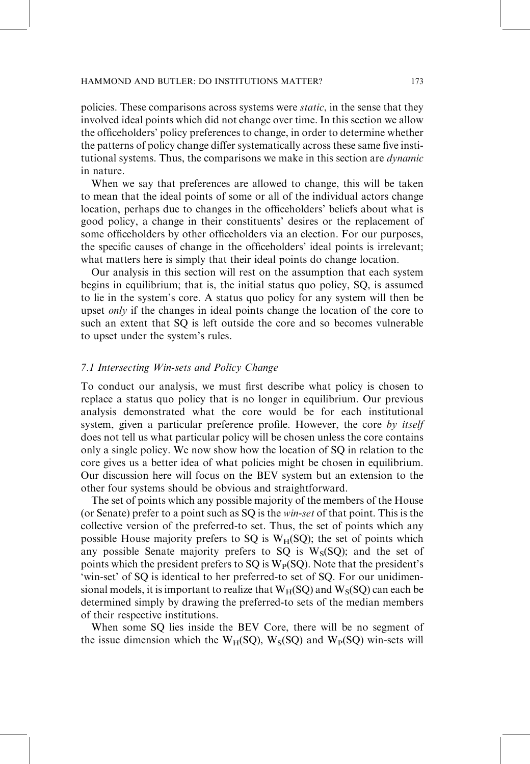policies. These comparisons across systems were *static*, in the sense that they involved ideal points which did not change over time. In this section we allow the officeholders' policy preferences to change, in order to determine whether the patterns of policy change differ systematically across these same five institutional systems. Thus, the comparisons we make in this section are *dynamic* in nature.

When we say that preferences are allowed to change, this will be taken to mean that the ideal points of some or all of the individual actors change location, perhaps due to changes in the officeholders' beliefs about what is good policy, a change in their constituents' desires or the replacement of some officeholders by other officeholders via an election. For our purposes, the specific causes of change in the officeholders' ideal points is irrelevant; what matters here is simply that their ideal points do change location.

Our analysis in this section will rest on the assumption that each system begins in equilibrium; that is, the initial status quo policy, SQ, is assumed to lie in the system's core. A status quo policy for any system will then be upset *only* if the changes in ideal points change the location of the core to such an extent that SQ is left outside the core and so becomes vulnerable to upset under the system's rules.

#### 7.1 Intersecting Win-sets and Policy Change

To conduct our analysis, we must first describe what policy is chosen to replace a status quo policy that is no longer in equilibrium. Our previous analysis demonstrated what the core would be for each institutional system, given a particular preference profile. However, the core by itself does not tell us what particular policy will be chosen unless the core contains only a single policy. We now show how the location of SQ in relation to the core gives us a better idea of what policies might be chosen in equilibrium. Our discussion here will focus on the BEV system but an extension to the other four systems should be obvious and straightforward.

The set of points which any possible majority of the members of the House (or Senate) prefer to a point such as SQ is the *win-set* of that point. This is the collective version of the preferred-to set. Thus, the set of points which any possible House majority prefers to SQ is  $W_H(SQ)$ ; the set of points which any possible Senate majority prefers to SQ is  $W_S(SQ)$ ; and the set of points which the president prefers to SQ is  $W_p(SQ)$ . Note that the president's 'win-set' of SQ is identical to her preferred-to set of SQ. For our unidimensional models, it is important to realize that  $W_H(SQ)$  and  $W_S(SQ)$  can each be determined simply by drawing the preferred-to sets of the median members of their respective institutions.

When some SQ lies inside the BEV Core, there will be no segment of the issue dimension which the  $W_H(SQ)$ ,  $W_S(SQ)$  and  $W_P(SQ)$  win-sets will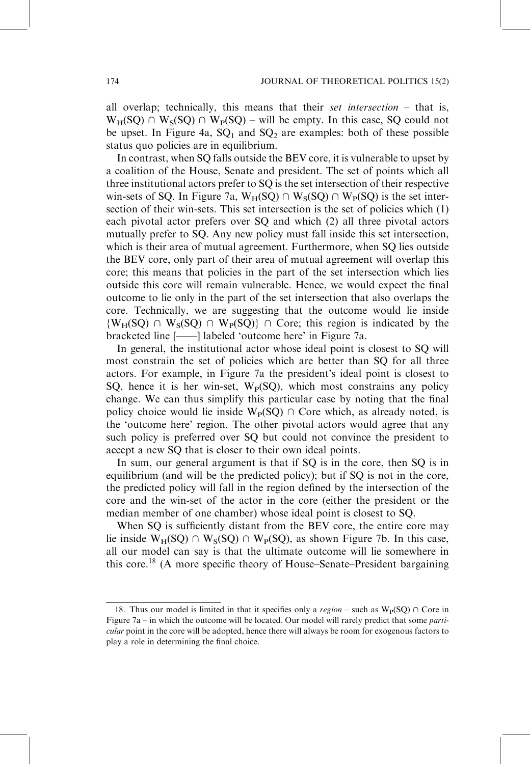all overlap; technically, this means that their set intersection  $-$  that is,  $W_H(SQ) \cap W_S(SQ) \cap W_P(SQ)$  – will be empty. In this case, SQ could not be upset. In Figure 4a,  $SQ_1$  and  $SQ_2$  are examples: both of these possible status quo policies are in equilibrium.

In contrast, when SQ falls outside the BEV core, it is vulnerable to upset by a coalition of the House, Senate and president. The set of points which all three institutional actors prefer to SQ is the set intersection of their respective win-sets of SQ. In Figure 7a,  $W_H(SQ) \cap W_S(SQ) \cap W_P(SQ)$  is the set intersection of their win-sets. This set intersection is the set of policies which (1) each pivotal actor prefers over SQ and which (2) all three pivotal actors mutually prefer to SQ. Any new policy must fall inside this set intersection, which is their area of mutual agreement. Furthermore, when SQ lies outside the BEV core, only part of their area of mutual agreement will overlap this core; this means that policies in the part of the set intersection which lies outside this core will remain vulnerable. Hence, we would expect the final outcome to lie only in the part of the set intersection that also overlaps the core. Technically, we are suggesting that the outcome would lie inside  $\{W_H(SQ) \cap W_S(SQ) \cap W_P(SQ)\}\cap \text{Core}$ ; this region is indicated by the bracketed line [-all labeled 'outcome here' in Figure 7a.

In general, the institutional actor whose ideal point is closest to SO will most constrain the set of policies which are better than SQ for all three actors. For example, in Figure 7a the president's ideal point is closest to SQ, hence it is her win-set,  $W_P(SQ)$ , which most constrains any policy change. We can thus simplify this particular case by noting that the final policy choice would lie inside  $W_p(SQ) \cap$  Core which, as already noted, is the 'outcome here' region. The other pivotal actors would agree that any such policy is preferred over SQ but could not convince the president to accept a new SQ that is closer to their own ideal points.

In sum, our general argument is that if SQ is in the core, then SQ is in equilibrium (and will be the predicted policy); but if SQ is not in the core, the predicted policy will fall in the region defined by the intersection of the core and the win-set of the actor in the core (either the president or the median member of one chamber) whose ideal point is closest to SQ.

When SQ is sufficiently distant from the BEV core, the entire core may lie inside  $W_H(SQ) \cap W_S(SQ) \cap W_P(SQ)$ , as shown Figure 7b. In this case, all our model can say is that the ultimate outcome will lie somewhere in this core.<sup>18</sup> (A more specific theory of House–Senate–President bargaining

<sup>18.</sup> Thus our model is limited in that it specifies only a region – such as  $W_P(SQ) \cap$  Core in Figure 7a – in which the outcome will be located. Our model will rarely predict that some *parti*cular point in the core will be adopted, hence there will always be room for exogenous factors to play a role in determining the final choice.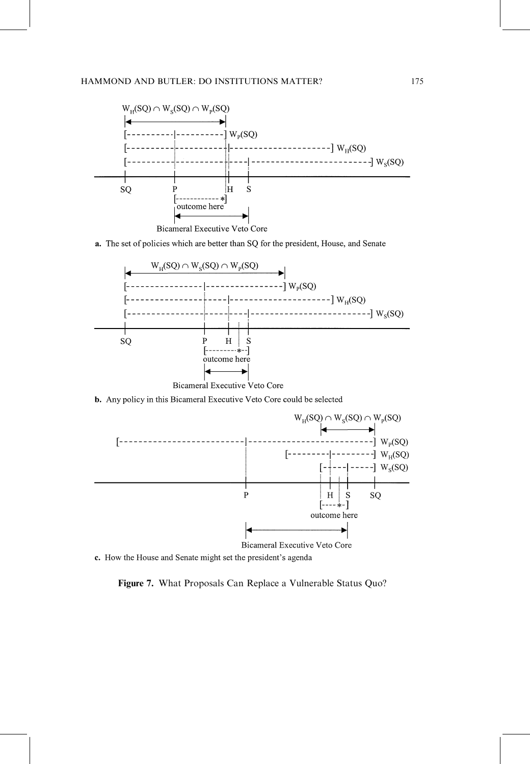

a. The set of policies which are better than SQ for the president, House, and Senate



**b.** Any policy in this Bicameral Executive Veto Core could be selected



c. How the House and Senate might set the president's agenda

Figure 7. What Proposals Can Replace a Vulnerable Status Quo?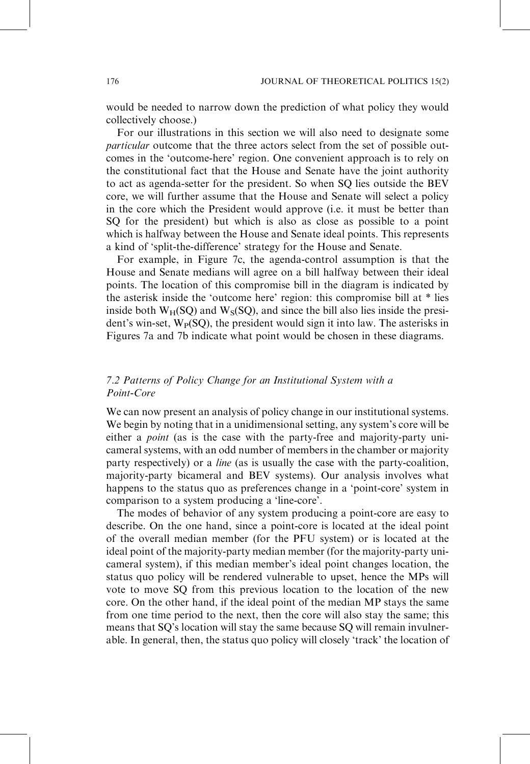would be needed to narrow down the prediction of what policy they would collectively choose.)

For our illustrations in this section we will also need to designate some particular outcome that the three actors select from the set of possible outcomes in the 'outcome-here' region. One convenient approach is to rely on the constitutional fact that the House and Senate have the joint authority to act as agenda-setter for the president. So when SQ lies outside the BEV core, we will further assume that the House and Senate will select a policy in the core which the President would approve (i.e. it must be better than SQ for the president) but which is also as close as possible to a point which is halfway between the House and Senate ideal points. This represents a kind of 'split-the-difference' strategy for the House and Senate.

For example, in Figure 7c, the agenda-control assumption is that the House and Senate medians will agree on a bill halfway between their ideal points. The location of this compromise bill in the diagram is indicated by the asterisk inside the 'outcome here' region: this compromise bill at \* lies inside both  $W_H(SQ)$  and  $W_S(SQ)$ , and since the bill also lies inside the president's win-set,  $W_p(SQ)$ , the president would sign it into law. The asterisks in Figures 7a and 7b indicate what point would be chosen in these diagrams.

# 7.2 Patterns of Policy Change for an Institutional System with a Point-Core

We can now present an analysis of policy change in our institutional systems. We begin by noting that in a unidimensional setting, any system's core will be either a *point* (as is the case with the party-free and majority-party unicameral systems, with an odd number of members in the chamber or majority party respectively) or a *line* (as is usually the case with the party-coalition, majority-party bicameral and BEV systems). Our analysis involves what happens to the status quo as preferences change in a 'point-core' system in comparison to a system producing a 'line-core'.

The modes of behavior of any system producing a point-core are easy to describe. On the one hand, since a point-core is located at the ideal point of the overall median member (for the PFU system) or is located at the ideal point of the majority-party median member (for the majority-party unicameral system), if this median member's ideal point changes location, the status quo policy will be rendered vulnerable to upset, hence the MPs will vote to move SQ from this previous location to the location of the new core. On the other hand, if the ideal point of the median MP stays the same from one time period to the next, then the core will also stay the same; this means that SQ's location will stay the same because SQ will remain invulnerable. In general, then, the status quo policy will closely 'track' the location of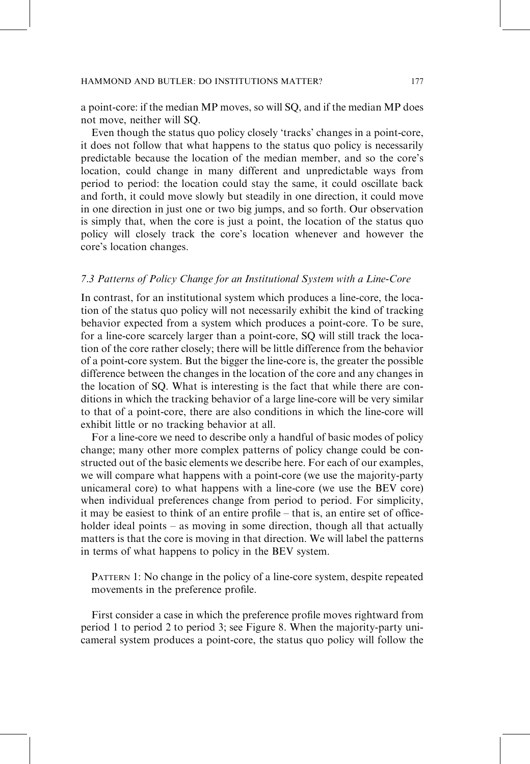a point-core: if the median MP moves, so will SQ, and if the median MP does not move, neither will SO.

Even though the status quo policy closely 'tracks' changes in a point-core, it does not follow that what happens to the status quo policy is necessarily predictable because the location of the median member, and so the core's location, could change in many different and unpredictable ways from period to period: the location could stay the same, it could oscillate back and forth, it could move slowly but steadily in one direction, it could move in one direction in just one or two big jumps, and so forth. Our observation is simply that, when the core is just a point, the location of the status quo policy will closely track the core's location whenever and however the core's location changes.

### 7.3 Patterns of Policy Change for an Institutional System with a Line-Core

In contrast, for an institutional system which produces a line-core, the location of the status quo policy will not necessarily exhibit the kind of tracking behavior expected from a system which produces a point-core. To be sure, for a line-core scarcely larger than a point-core, SO will still track the location of the core rather closely; there will be little difference from the behavior of a point-core system. But the bigger the line-core is, the greater the possible difference between the changes in the location of the core and any changes in the location of SQ. What is interesting is the fact that while there are conditions in which the tracking behavior of a large line-core will be very similar to that of a point-core, there are also conditions in which the line-core will exhibit little or no tracking behavior at all.

For a line-core we need to describe only a handful of basic modes of policy change; many other more complex patterns of policy change could be constructed out of the basic elements we describe here. For each of our examples, we will compare what happens with a point-core (we use the majority-party unicameral core) to what happens with a line-core (we use the BEV core) when individual preferences change from period to period. For simplicity, it may be easiest to think of an entire profile – that is, an entire set of officeholder ideal points  $-$  as moving in some direction, though all that actually matters is that the core is moving in that direction. We will label the patterns in terms of what happens to policy in the BEV system.

PATTERN 1: No change in the policy of a line-core system, despite repeated movements in the preference profile.

First consider a case in which the preference profile moves rightward from period 1 to period 2 to period 3; see Figure 8. When the majority-party unicameral system produces a point-core, the status quo policy will follow the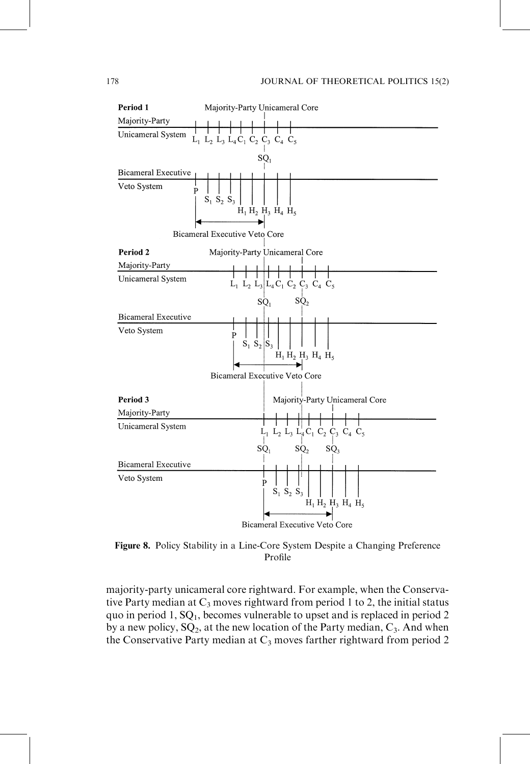

Figure 8. Policy Stability in a Line-Core System Despite a Changing Preference Profile

majority-party unicameral core rightward. For example, when the Conservative Party median at  $C_3$  moves rightward from period 1 to 2, the initial status quo in period 1,  $SQ_1$ , becomes vulnerable to upset and is replaced in period 2 by a new policy,  $SQ_2$ , at the new location of the Party median,  $C_3$ . And when the Conservative Party median at  $C_3$  moves farther rightward from period 2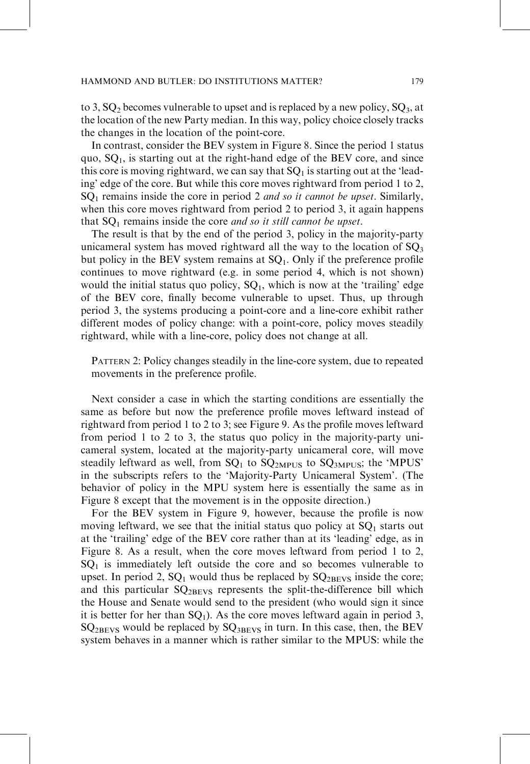to 3,  $SQ_2$  becomes vulnerable to upset and is replaced by a new policy,  $SQ_3$ , at the location of the new Party median. In this way, policy choice closely tracks the changes in the location of the point-core.

In contrast, consider the BEV system in Figure 8. Since the period 1 status quo,  $SQ_1$ , is starting out at the right-hand edge of the BEV core, and since this core is moving rightward, we can say that  $SQ_1$  is starting out at the 'leading' edge of the core. But while this core moves rightward from period 1 to 2,  $SQ_1$  remains inside the core in period 2 *and so it cannot be upset*. Similarly, when this core moves rightward from period 2 to period 3, it again happens that  $SQ_1$  remains inside the core *and so it still cannot be upset*.

The result is that by the end of the period 3, policy in the majority-party unicameral system has moved rightward all the way to the location of  $SQ_3$ but policy in the BEV system remains at  $SQ_1$ . Only if the preference profile continues to move rightward (e.g. in some period 4, which is not shown) would the initial status quo policy,  $SQ<sub>1</sub>$ , which is now at the 'trailing' edge of the BEV core, finally become vulnerable to upset. Thus, up through period 3, the systems producing a point-core and a line-core exhibit rather different modes of policy change: with a point-core, policy moves steadily rightward, while with a line-core, policy does not change at all.

PATTERN 2: Policy changes steadily in the line-core system, due to repeated movements in the preference profile.

Next consider a case in which the starting conditions are essentially the same as before but now the preference profile moves leftward instead of rightward from period 1 to 2 to 3; see Figure 9. As the profile moves leftward from period 1 to 2 to 3, the status quo policy in the majority-party unicameral system, located at the majority-party unicameral core, will move steadily leftward as well, from  $SQ_1$  to  $SQ_{2MPUS}$  to  $SQ_{3MPUS}$ ; the 'MPUS' in the subscripts refers to the 'Majority-Party Unicameral System'. (The behavior of policy in the MPU system here is essentially the same as in Figure 8 except that the movement is in the opposite direction.)

For the BEV system in Figure 9, however, because the profile is now moving leftward, we see that the initial status quo policy at  $SQ_1$  starts out at the 'trailing' edge of the BEV core rather than at its 'leading' edge, as in Figure 8. As a result, when the core moves leftward from period 1 to 2,  $SQ<sub>1</sub>$  is immediately left outside the core and so becomes vulnerable to upset. In period 2,  $SQ_1$  would thus be replaced by  $SQ_{2BEVS}$  inside the core; and this particular SQ<sub>2BEVS</sub> represents the split-the-difference bill which the House and Senate would send to the president (who would sign it since it is better for her than  $SQ_1$ ). As the core moves leftward again in period 3,  $SQ<sub>2BEVS</sub>$  would be replaced by  $SQ<sub>3BEVS</sub>$  in turn. In this case, then, the BEV system behaves in a manner which is rather similar to the MPUS: while the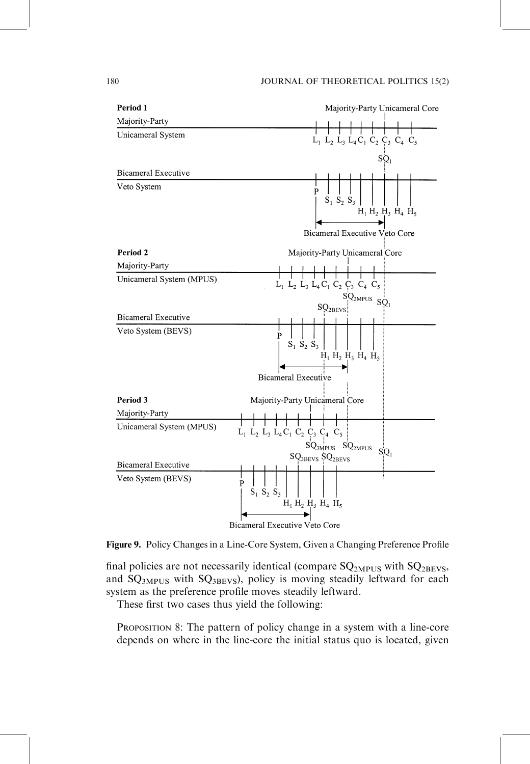

Figure 9. Policy Changes in a Line-Core System, Given a Changing Preference Profile

final policies are not necessarily identical (compare  $SQ<sub>2MPUS</sub>$  with  $SQ<sub>2BEVS</sub>$ , and  $SQ<sub>3MPUS</sub>$  with  $SQ<sub>3BEVS</sub>$ , policy is moving steadily leftward for each system as the preference profile moves steadily leftward.

These first two cases thus yield the following:

PROPOSITION 8: The pattern of policy change in a system with a line-core depends on where in the line-core the initial status quo is located, given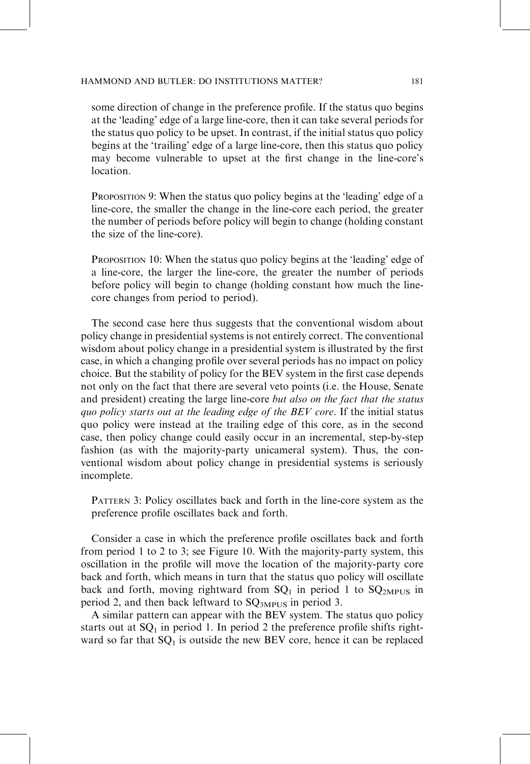some direction of change in the preference profile. If the status quo begins at the 'leading' edge of a large line-core, then it can take several periods for the status quo policy to be upset. In contrast, if the initial status quo policy begins at the 'trailing' edge of a large line-core, then this status quo policy may become vulnerable to upset at the first change in the line-core's location.

Proposition 9: When the status quo policy begins at the 'leading' edge of a line-core, the smaller the change in the line-core each period, the greater the number of periods before policy will begin to change (holding constant the size of the line-core).

PROPOSITION 10: When the status quo policy begins at the 'leading' edge of a line-core, the larger the line-core, the greater the number of periods before policy will begin to change (holding constant how much the linecore changes from period to period).

The second case here thus suggests that the conventional wisdom about policy change in presidential systems is not entirely correct. The conventional wisdom about policy change in a presidential system is illustrated by the first case, in which a changing profile over several periods has no impact on policy choice. But the stability of policy for the BEV system in the first case depends not only on the fact that there are several veto points (i.e. the House, Senate and president) creating the large line-core but also on the fact that the status quo policy starts out at the leading edge of the BEV core. If the initial status quo policy were instead at the trailing edge of this core, as in the second case, then policy change could easily occur in an incremental, step-by-step fashion (as with the majority-party unicameral system). Thus, the conventional wisdom about policy change in presidential systems is seriously incomplete.

PATTERN 3: Policy oscillates back and forth in the line-core system as the preference profile oscillates back and forth.

Consider a case in which the preference profile oscillates back and forth from period 1 to 2 to 3; see Figure 10. With the majority-party system, this oscillation in the profile will move the location of the majority-party core back and forth, which means in turn that the status quo policy will oscillate back and forth, moving rightward from  $SQ_1$  in period 1 to  $SQ_{2MPUS}$  in period 2, and then back leftward to  $SQ<sub>3MPUS</sub>$  in period 3.

A similar pattern can appear with the BEV system. The status quo policy starts out at  $SQ_1$  in period 1. In period 2 the preference profile shifts rightward so far that  $SQ_1$  is outside the new BEV core, hence it can be replaced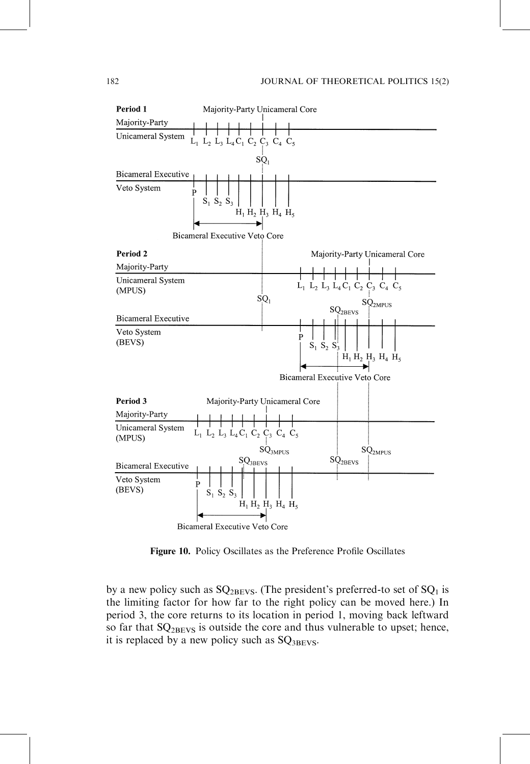

Figure 10. Policy Oscillates as the Preference Profile Oscillates

by a new policy such as  $SQ_{2BEVS}$ . (The president's preferred-to set of  $SQ_1$  is the limiting factor for how far to the right policy can be moved here.) In period 3, the core returns to its location in period 1, moving back leftward so far that SQ<sub>2BEVS</sub> is outside the core and thus vulnerable to upset; hence, it is replaced by a new policy such as  $SQ<sub>3BEVS</sub>$ .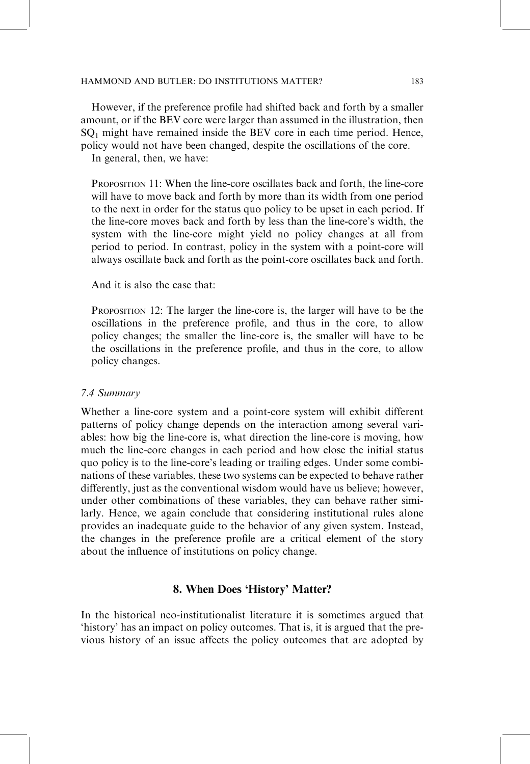However, if the preference profile had shifted back and forth by a smaller amount, or if the BEV core were larger than assumed in the illustration, then  $SO<sub>1</sub>$  might have remained inside the BEV core in each time period. Hence, policy would not have been changed, despite the oscillations of the core.

In general, then, we have:

PROPOSITION 11: When the line-core oscillates back and forth, the line-core will have to move back and forth by more than its width from one period to the next in order for the status quo policy to be upset in each period. If the line-core moves back and forth by less than the line-core's width, the system with the line-core might yield no policy changes at all from period to period. In contrast, policy in the system with a point-core will always oscillate back and forth as the point-core oscillates back and forth.

And it is also the case that:

PROPOSITION 12: The larger the line-core is, the larger will have to be the oscillations in the preference profile, and thus in the core, to allow policy changes; the smaller the line-core is, the smaller will have to be the oscillations in the preference profile, and thus in the core, to allow policy changes.

### 7.4 Summary

Whether a line-core system and a point-core system will exhibit different patterns of policy change depends on the interaction among several variables: how big the line-core is, what direction the line-core is moving, how much the line-core changes in each period and how close the initial status quo policy is to the line-core's leading or trailing edges. Under some combinations of these variables, these two systems can be expected to behave rather differently, just as the conventional wisdom would have us believe; however, under other combinations of these variables, they can behave rather similarly. Hence, we again conclude that considering institutional rules alone provides an inadequate guide to the behavior of any given system. Instead, the changes in the preference profile are a critical element of the story about the influence of institutions on policy change.

# 8. When Does 'History' Matter?

In the historical neo-institutionalist literature it is sometimes argued that 'history' has an impact on policy outcomes. That is, it is argued that the previous history of an issue affects the policy outcomes that are adopted by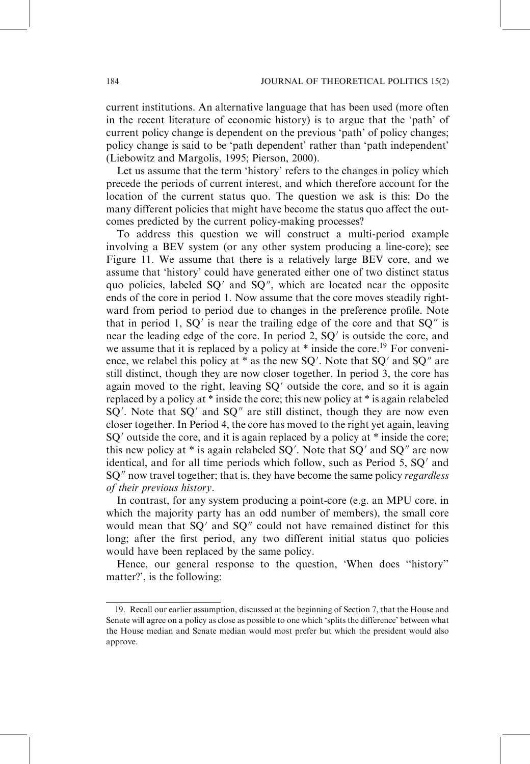current institutions. An alternative language that has been used (more often in the recent literature of economic history) is to argue that the 'path' of current policy change is dependent on the previous 'path' of policy changes; policy change is said to be 'path dependent' rather than 'path independent' (Liebowitz and Margolis, 1995; Pierson, 2000).

Let us assume that the term 'history' refers to the changes in policy which precede the periods of current interest, and which therefore account for the location of the current status quo. The question we ask is this: Do the many different policies that might have become the status quo affect the outcomes predicted by the current policy-making processes?

To address this question we will construct a multi-period example involving a BEV system (or any other system producing a line-core); see Figure 11. We assume that there is a relatively large BEV core, and we assume that 'history' could have generated either one of two distinct status quo policies, labeled SQ' and SQ", which are located near the opposite ends of the core in period 1. Now assume that the core moves steadily rightward from period to period due to changes in the preference profile. Note that in period 1, SQ' is near the trailing edge of the core and that SQ" is near the leading edge of the core. In period 2, SQ' is outside the core, and we assume that it is replaced by a policy at  $*$  inside the core.<sup>19</sup> For convenience, we relabel this policy at \* as the new SQ'. Note that SQ' and SQ" are still distinct, though they are now closer together. In period 3, the core has again moved to the right, leaving SQ' outside the core, and so it is again replaced by a policy at \* inside the core; this new policy at \* is again relabeled SQ'. Note that SQ' and SQ" are still distinct, though they are now even closer together. In Period 4, the core has moved to the right yet again, leaving SQ' outside the core, and it is again replaced by a policy at \* inside the core; this new policy at \* is again relabeled SQ'. Note that SQ' and SQ" are now identical, and for all time periods which follow, such as Period 5, SQ' and SQ" now travel together; that is, they have become the same policy regardless of their previous history.

In contrast, for any system producing a point-core (e.g. an MPU core, in which the majority party has an odd number of members), the small core would mean that  $SQ'$  and  $SQ''$  could not have remained distinct for this long; after the first period, any two different initial status quo policies would have been replaced by the same policy.

Hence, our general response to the question, 'When does "history" matter?', is the following:

<sup>19.</sup> Recall our earlier assumption, discussed at the beginning of Section 7, that the House and Senate will agree on a policy as close as possible to one which 'splits the difference' between what the House median and Senate median would most prefer but which the president would also approve.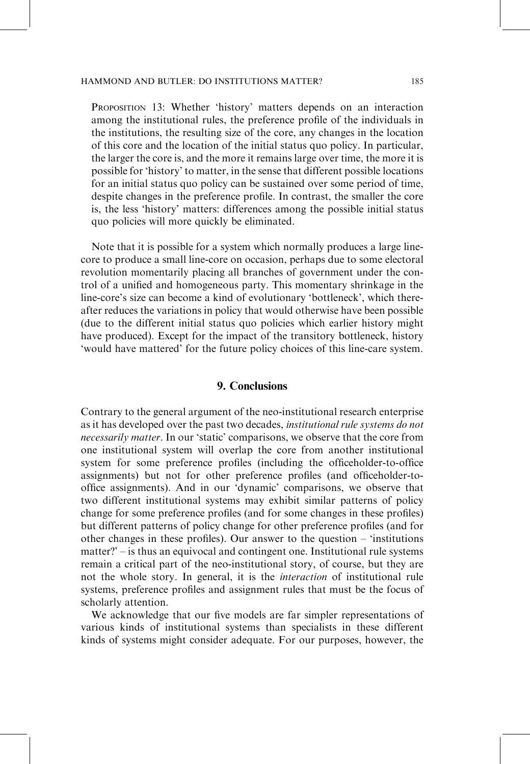PROPOSITION 13: Whether 'history' matters depends on an interaction among the institutional rules, the preference profile of the individuals in the institutions, the resulting size of the core, any changes in the location of this core and the location of the initial status quo policy. In particular, the larger the core is, and the more it remains large over time, the more it is possible for 'history' to matter, in the sense that different possible locations for an initial status quo policy can be sustained over some period of time, despite changes in the preference profile. In contrast, the smaller the core is, the less 'history' matters: differences among the possible initial status quo policies will more quickly be eliminated.

Note that it is possible for a system which normally produces a large linecore to produce a small line-core on occasion, perhaps due to some electoral revolution momentarily placing all branches of government under the control of a unified and homogeneous party. This momentary shrinkage in the line-core's size can become a kind of evolutionary 'bottleneck', which thereafter reduces the variations in policy that would otherwise have been possible (due to the different initial status quo policies which earlier history might have produced). Except for the impact of the transitory bottleneck, history 'would have mattered' for the future policy choices of this line-care system.

# 9. Conclusions

Contrary to the general argument of the neo-institutional research enterprise as it has developed over the past two decades, institutional rule systems do not *necessarily matter*. In our 'static' comparisons, we observe that the core from one institutional system will overlap the core from another institutional system for some preference profiles (including the officeholder-to-office assignments) but not for other preference profiles (and officeholder-tooffice assignments). And in our 'dynamic' comparisons, we observe that two different institutional systems may exhibit similar patterns of policy change for some preference profiles (and for some changes in these profiles) but different patterns of policy change for other preference profiles (and for other changes in these profiles). Our answer to the question  $-$  'institutions matter?' – is thus an equivocal and contingent one. Institutional rule systems remain a critical part of the neo-institutional story, of course, but they are not the whole story. In general, it is the *interaction* of institutional rule systems, preference profiles and assignment rules that must be the focus of scholarly attention.

We acknowledge that our five models are far simpler representations of various kinds of institutional systems than specialists in these different kinds of systems might consider adequate. For our purposes, however, the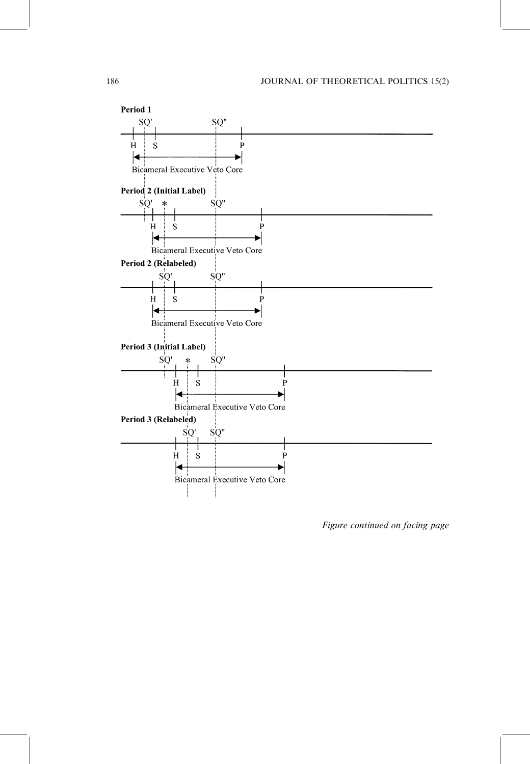

Figure continued on facing page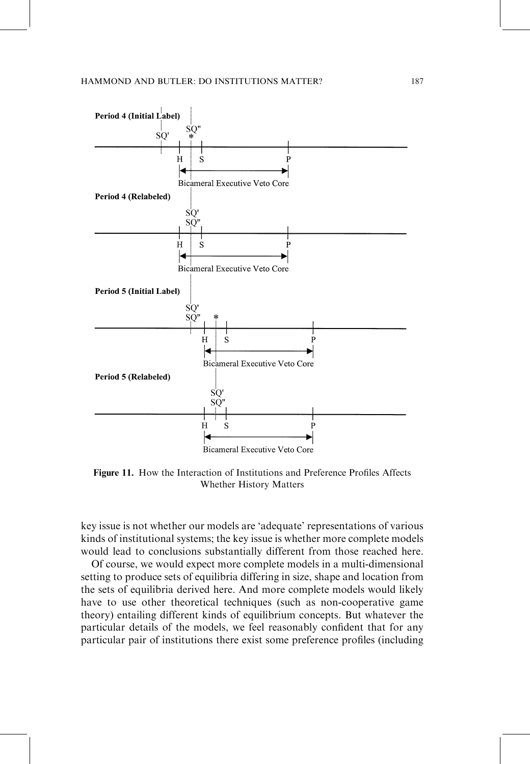

Figure 11. How the Interaction of Institutions and Preference Profiles Affects Whether History Matters

key issue is not whether our models are 'adequate' representations of various kinds of institutional systems; the key issue is whether more complete models would lead to conclusions substantially different from those reached here.

Of course, we would expect more complete models in a multi-dimensional setting to produce sets of equilibria differing in size, shape and location from the sets of equilibria derived here. And more complete models would likely have to use other theoretical techniques (such as non-cooperative game theory) entailing different kinds of equilibrium concepts. But whatever the particular details of the models, we feel reasonably confident that for any particular pair of institutions there exist some preference profiles (including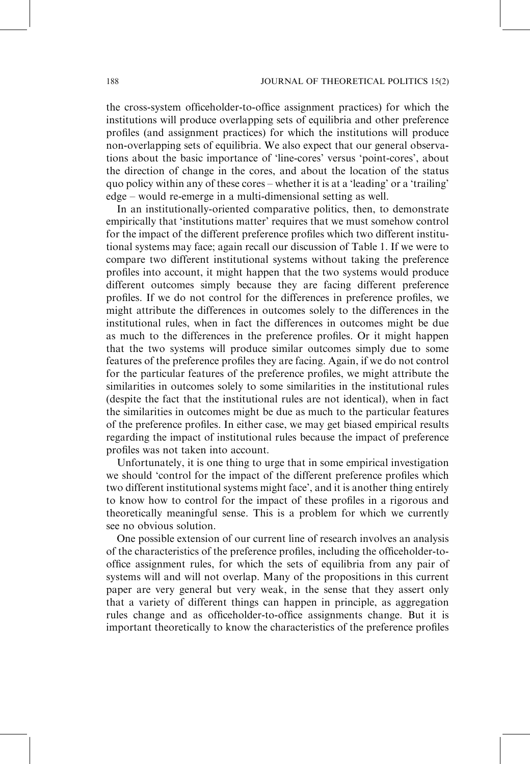the cross-system officeholder-to-office assignment practices) for which the institutions will produce overlapping sets of equilibria and other preference profiles (and assignment practices) for which the institutions will produce non-overlapping sets of equilibria. We also expect that our general observations about the basic importance of 'line-cores' versus 'point-cores', about the direction of change in the cores, and about the location of the status quo policy within any of these cores – whether it is at a 'leading' or a 'trailing' edge – would re-emerge in a multi-dimensional setting as well.

In an institutionally-oriented comparative politics, then, to demonstrate empirically that 'institutions matter' requires that we must somehow control for the impact of the different preference profiles which two different institutional systems may face; again recall our discussion of Table 1. If we were to compare two different institutional systems without taking the preference profiles into account, it might happen that the two systems would produce different outcomes simply because they are facing different preference profiles. If we do not control for the differences in preference profiles, we might attribute the differences in outcomes solely to the differences in the institutional rules, when in fact the differences in outcomes might be due as much to the differences in the preference profiles. Or it might happen that the two systems will produce similar outcomes simply due to some features of the preference profiles they are facing. Again, if we do not control for the particular features of the preference profiles, we might attribute the similarities in outcomes solely to some similarities in the institutional rules (despite the fact that the institutional rules are not identical), when in fact the similarities in outcomes might be due as much to the particular features of the preference profiles. In either case, we may get biased empirical results regarding the impact of institutional rules because the impact of preference profiles was not taken into account.

Unfortunately, it is one thing to urge that in some empirical investigation we should 'control for the impact of the different preference profiles which two different institutional systems might face', and it is another thing entirely to know how to control for the impact of these profiles in a rigorous and theoretically meaningful sense. This is a problem for which we currently see no obvious solution.

One possible extension of our current line of research involves an analysis of the characteristics of the preference profiles, including the officeholder-tooffice assignment rules, for which the sets of equilibria from any pair of systems will and will not overlap. Many of the propositions in this current paper are very general but very weak, in the sense that they assert only that a variety of different things can happen in principle, as aggregation rules change and as officeholder-to-office assignments change. But it is important theoretically to know the characteristics of the preference profiles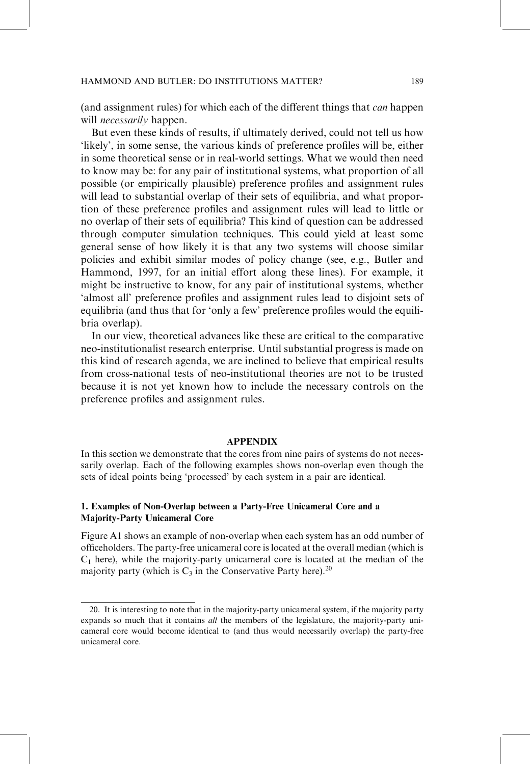(and assignment rules) for which each of the different things that *can* happen will *necessarily* happen.

But even these kinds of results, if ultimately derived, could not tell us how 'likely', in some sense, the various kinds of preference profiles will be, either in some theoretical sense or in real-world settings. What we would then need to know may be: for any pair of institutional systems, what proportion of all possible (or empirically plausible) preference profiles and assignment rules will lead to substantial overlap of their sets of equilibria, and what proportion of these preference profiles and assignment rules will lead to little or no overlap of their sets of equilibria? This kind of question can be addressed through computer simulation techniques. This could yield at least some general sense of how likely it is that any two systems will choose similar policies and exhibit similar modes of policy change (see, e.g., Butler and Hammond, 1997, for an initial effort along these lines). For example, it might be instructive to know, for any pair of institutional systems, whether 'almost all' preference profiles and assignment rules lead to disjoint sets of equilibria (and thus that for 'only a few' preference profiles would the equilibria overlap).

In our view, theoretical advances like these are critical to the comparative neo-institutionalist research enterprise. Until substantial progress is made on this kind of research agenda, we are inclined to believe that empirical results from cross-national tests of neo-institutional theories are not to be trusted because it is not yet known how to include the necessary controls on the preference profiles and assignment rules.

#### **APPENDIX**

In this section we demonstrate that the cores from nine pairs of systems do not necessarily overlap. Each of the following examples shows non-overlap even though the sets of ideal points being 'processed' by each system in a pair are identical.

#### 1. Examples of Non-Overlap between a Party-Free Unicameral Core and a **Majority-Party Unicameral Core**

Figure A1 shows an example of non-overlap when each system has an odd number of officeholders. The party-free unicameral core is located at the overall median (which is  $C_1$  here), while the majority-party unicameral core is located at the median of the majority party (which is  $C_3$  in the Conservative Party here).<sup>20</sup>

<sup>20.</sup> It is interesting to note that in the majority-party unicameral system, if the majority party expands so much that it contains *all* the members of the legislature, the majority-party unicameral core would become identical to (and thus would necessarily overlap) the party-free unicameral core.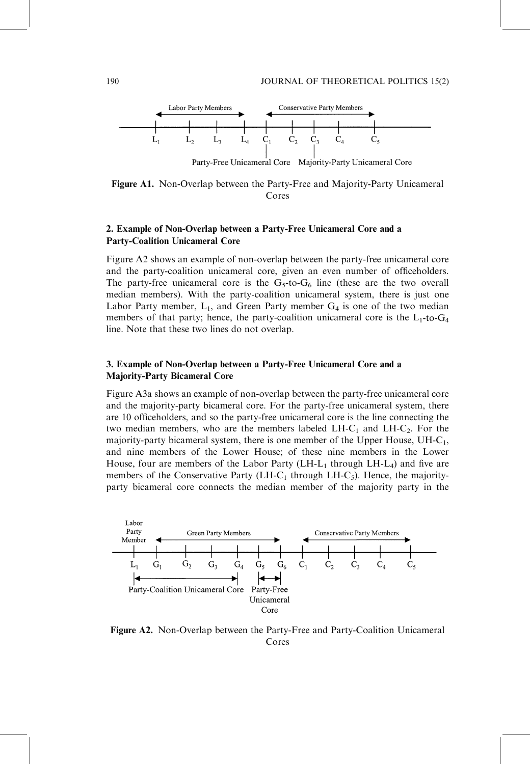

Figure A1. Non-Overlap between the Party-Free and Majority-Party Unicameral Cores

### 2. Example of Non-Overlap between a Party-Free Unicameral Core and a **Party-Coalition Unicameral Core**

Figure A2 shows an example of non-overlap between the party-free unicameral core and the party-coalition unicameral core, given an even number of officeholders. The party-free unicameral core is the  $G_5$ -to- $G_6$  line (these are the two overall median members). With the party-coalition unicameral system, there is just one Labor Party member,  $L_1$ , and Green Party member  $G_4$  is one of the two median members of that party; hence, the party-coalition unicameral core is the  $L_1$ -to- $G_4$ line. Note that these two lines do not overlap.

### 3. Example of Non-Overlap between a Party-Free Unicameral Core and a **Majority-Party Bicameral Core**

Figure A3a shows an example of non-overlap between the party-free unicameral core and the majority-party bicameral core. For the party-free unicameral system, there are 10 officeholders, and so the party-free unicameral core is the line connecting the two median members, who are the members labeled  $LH-C_1$  and  $LH-C_2$ . For the majority-party bicameral system, there is one member of the Upper House,  $UH-C<sub>1</sub>$ , and nine members of the Lower House; of these nine members in the Lower House, four are members of the Labor Party (LH- $L_1$  through LH- $L_4$ ) and five are members of the Conservative Party (LH-C<sub>1</sub> through LH-C<sub>5</sub>). Hence, the majorityparty bicameral core connects the median member of the majority party in the



Figure A2. Non-Overlap between the Party-Free and Party-Coalition Unicameral Cores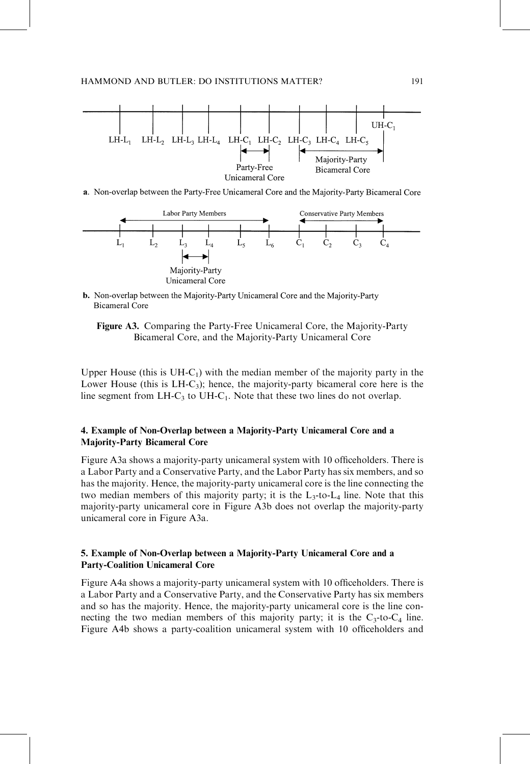

a. Non-overlap between the Party-Free Unicameral Core and the Majority-Party Bicameral Core



b. Non-overlap between the Majority-Party Unicameral Core and the Majority-Party **Bicameral Core** 

Figure A3. Comparing the Party-Free Unicameral Core, the Majority-Party Bicameral Core, and the Majority-Party Unicameral Core

Upper House (this is  $UH - C_1$ ) with the median member of the majority party in the Lower House (this is  $LH-C_3$ ); hence, the majority-party bicameral core here is the line segment from LH-C<sub>3</sub> to UH-C<sub>1</sub>. Note that these two lines do not overlap.

### 4. Example of Non-Overlap between a Majority-Party Unicameral Core and a **Majority-Party Bicameral Core**

Figure A3a shows a majority-party unicameral system with 10 officeholders. There is a Labor Party and a Conservative Party, and the Labor Party has six members, and so has the majority. Hence, the majority-party unicameral core is the line connecting the two median members of this majority party; it is the  $L_3$ -to- $L_4$  line. Note that this majority-party unicameral core in Figure A3b does not overlap the majority-party unicameral core in Figure A3a.

### 5. Example of Non-Overlap between a Majority-Party Unicameral Core and a **Party-Coalition Unicameral Core**

Figure A4a shows a majority-party unicameral system with 10 officeholders. There is a Labor Party and a Conservative Party, and the Conservative Party has six members and so has the majority. Hence, the majority-party unicameral core is the line connecting the two median members of this majority party; it is the  $C_3$ -to- $C_4$  line. Figure A4b shows a party-coalition unicameral system with 10 officeholders and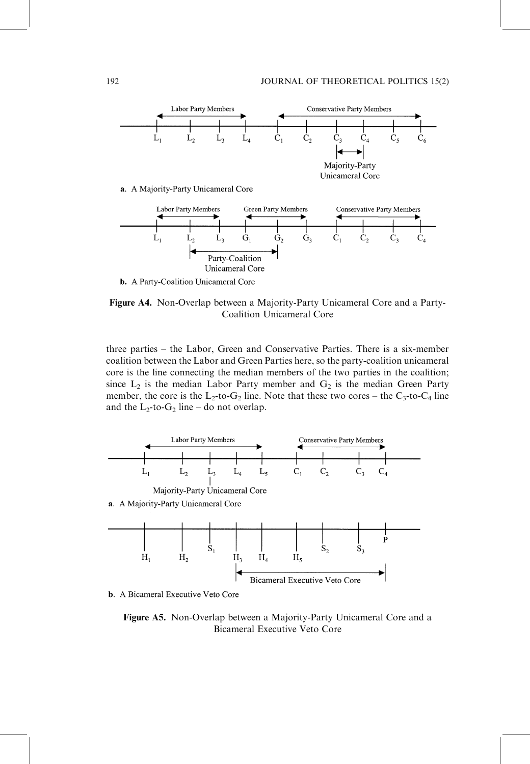

b. A Party-Coalition Unicameral Core

Figure A4. Non-Overlap between a Majority-Party Unicameral Core and a Party-Coalition Unicameral Core

three parties - the Labor, Green and Conservative Parties. There is a six-member coalition between the Labor and Green Parties here, so the party-coalition unicameral core is the line connecting the median members of the two parties in the coalition; since  $L_2$  is the median Labor Party member and  $G_2$  is the median Green Party member, the core is the  $L_2$ -to- $G_2$  line. Note that these two cores – the  $C_3$ -to- $C_4$  line and the  $L_2$ -to- $G_2$  line – do not overlap.



**b.** A Bicameral Executive Veto Core

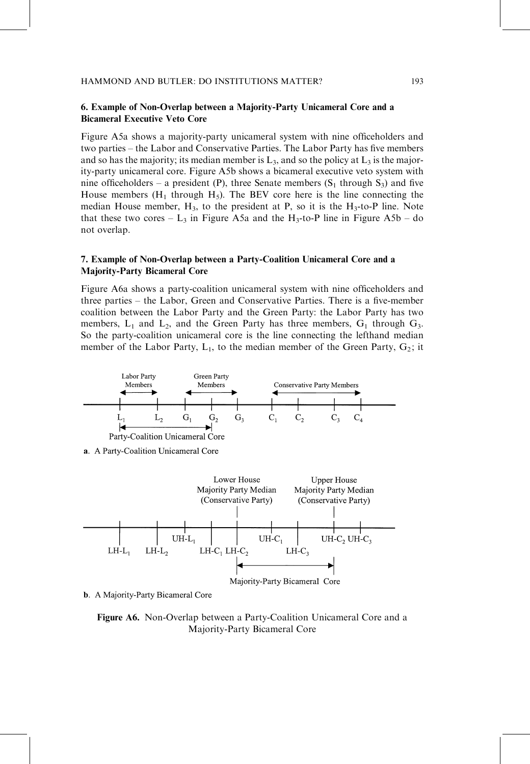### 6. Example of Non-Overlap between a Majority-Party Unicameral Core and a **Bicameral Executive Veto Core**

Figure A5a shows a majority-party unicameral system with nine officeholders and two parties – the Labor and Conservative Parties. The Labor Party has five members and so has the majority; its median member is  $L_3$ , and so the policy at  $L_3$  is the majority-party unicameral core. Figure A5b shows a bicameral executive veto system with nine officeholders – a president (P), three Senate members  $(S_1$  through  $S_3$ ) and five House members (H<sub>1</sub> through H<sub>5</sub>). The BEV core here is the line connecting the median House member,  $H_3$ , to the president at P, so it is the  $H_3$ -to-P line. Note that these two cores  $-L_3$  in Figure A5a and the H<sub>3</sub>-to-P line in Figure A5b – do not overlap.

### 7. Example of Non-Overlap between a Party-Coalition Unicameral Core and a **Majority-Party Bicameral Core**

Figure A6a shows a party-coalition unicameral system with nine officeholders and three parties – the Labor, Green and Conservative Parties. There is a five-member coalition between the Labor Party and the Green Party: the Labor Party has two members,  $L_1$  and  $L_2$ , and the Green Party has three members,  $G_1$  through  $G_3$ . So the party-coalition unicameral core is the line connecting the lefthand median member of the Labor Party,  $L_1$ , to the median member of the Green Party,  $G_2$ ; it



a. A Party-Coalition Unicameral Core



**b**. A Majority-Party Bicameral Core

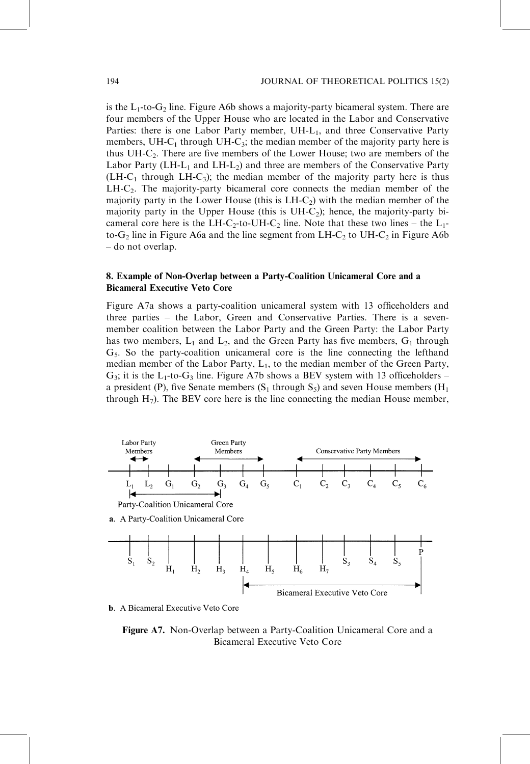is the  $L_1$ -to-G<sub>2</sub> line. Figure A6b shows a majority-party bicameral system. There are four members of the Upper House who are located in the Labor and Conservative Parties: there is one Labor Party member, UH-L<sub>1</sub>, and three Conservative Party members, UH-C<sub>1</sub> through UH-C<sub>3</sub>; the median member of the majority party here is thus UH-C<sub>2</sub>. There are five members of the Lower House; two are members of the Labor Party (LH-L<sub>1</sub> and LH-L<sub>2</sub>) and three are members of the Conservative Party  $(LH-C_1)$  through  $LH-C_3$ ; the median member of the majority party here is thus  $LH-C<sub>2</sub>$ . The majority-party bicameral core connects the median member of the majority party in the Lower House (this is  $LH-C<sub>2</sub>$ ) with the median member of the majority party in the Upper House (this is  $UH-C<sub>2</sub>$ ); hence, the majority-party bicameral core here is the LH-C<sub>2</sub>-to-UH-C<sub>2</sub> line. Note that these two lines – the L<sub>1</sub>to- $G_2$  line in Figure A6a and the line segment from LH-C<sub>2</sub> to UH-C<sub>2</sub> in Figure A6b - do not overlap.

### 8. Example of Non-Overlap between a Party-Coalition Unicameral Core and a **Bicameral Executive Veto Core**

Figure A7a shows a party-coalition unicameral system with 13 officeholders and three parties – the Labor, Green and Conservative Parties. There is a sevenmember coalition between the Labor Party and the Green Party: the Labor Party has two members,  $L_1$  and  $L_2$ , and the Green Party has five members,  $G_1$  through  $G<sub>5</sub>$ . So the party-coalition unicameral core is the line connecting the lefthand median member of the Labor Party,  $L_1$ , to the median member of the Green Party,  $G_3$ ; it is the L<sub>1</sub>-to-G<sub>3</sub> line. Figure A7b shows a BEV system with 13 officeholders – a president (P), five Senate members (S<sub>1</sub> through  $S_5$ ) and seven House members (H<sub>1</sub> through  $H_7$ ). The BEV core here is the line connecting the median House member,



**b.** A Bicameral Executive Veto Core

Figure A7. Non-Overlap between a Party-Coalition Unicameral Core and a Bicameral Executive Veto Core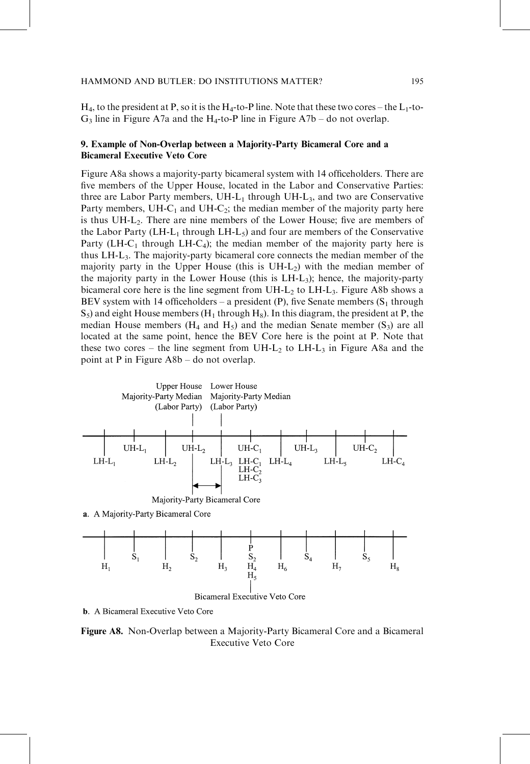$H_4$ , to the president at P, so it is the H<sub>4</sub>-to-P line. Note that these two cores – the L<sub>1</sub>-to- $G_3$  line in Figure A7a and the H<sub>4</sub>-to-P line in Figure A7b – do not overlap.

### 9. Example of Non-Overlap between a Majority-Party Bicameral Core and a **Bicameral Executive Veto Core**

Figure A8a shows a majority-party bicameral system with 14 officeholders. There are five members of the Upper House, located in the Labor and Conservative Parties: three are Labor Party members,  $UH-L_1$  through  $UH-L_3$ , and two are Conservative Party members, UH-C<sub>1</sub> and UH-C<sub>2</sub>; the median member of the majority party here is thus UH-L<sub>2</sub>. There are nine members of the Lower House; five are members of the Labor Party (LH-L<sub>1</sub> through LH-L<sub>5</sub>) and four are members of the Conservative Party (LH-C<sub>1</sub> through LH-C<sub>4</sub>); the median member of the majority party here is thus LH-L<sub>3</sub>. The majority-party bicameral core connects the median member of the majority party in the Upper House (this is  $UH-L_2$ ) with the median member of the majority party in the Lower House (this is LH-L<sub>3</sub>); hence, the majority-party bicameral core here is the line segment from  $UH-L_2$  to  $LH-L_3$ . Figure A8b shows a BEV system with 14 officeholders – a president (P), five Senate members  $(S_1)$  through  $S_5$  and eight House members (H<sub>1</sub> through H<sub>2</sub>). In this diagram, the president at P, the median House members (H<sub>4</sub> and H<sub>5</sub>) and the median Senate member (S<sub>3</sub>) are all located at the same point, hence the BEV Core here is the point at P. Note that these two cores – the line segment from UH-L<sub>2</sub> to LH-L<sub>3</sub> in Figure A8a and the point at P in Figure  $A8b$  – do not overlap.



b. A Bicameral Executive Veto Core

Figure A8. Non-Overlap between a Majority-Party Bicameral Core and a Bicameral **Executive Veto Core**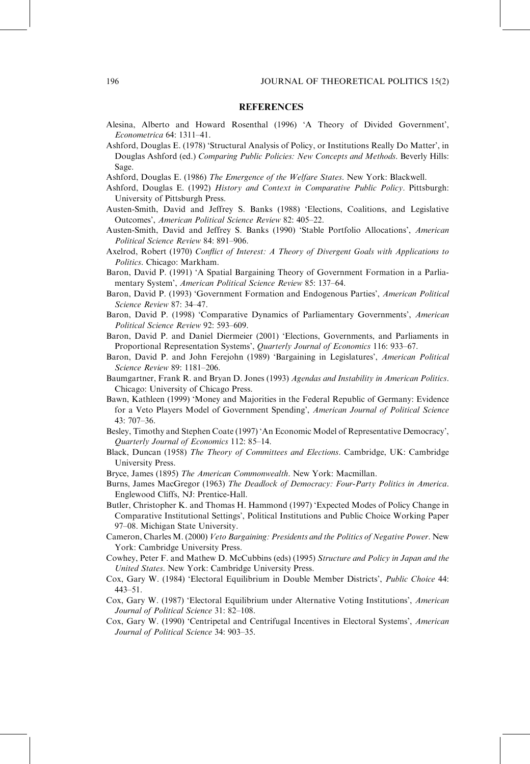#### **REFERENCES**

- Alesina, Alberto and Howard Rosenthal (1996) 'A Theory of Divided Government', Econometrica 64: 1311-41.
- Ashford, Douglas E. (1978) 'Structural Analysis of Policy, or Institutions Really Do Matter', in Douglas Ashford (ed.) Comparing Public Policies: New Concepts and Methods. Beverly Hills: Sage.
- Ashford, Douglas E. (1986) The Emergence of the Welfare States. New York: Blackwell.
- Ashford, Douglas E. (1992) History and Context in Comparative Public Policy. Pittsburgh: University of Pittsburgh Press.
- Austen-Smith, David and Jeffrey S. Banks (1988) 'Elections, Coalitions, and Legislative Outcomes', American Political Science Review 82: 405-22.
- Austen-Smith, David and Jeffrey S. Banks (1990) 'Stable Portfolio Allocations', American Political Science Review 84: 891-906.
- Axelrod, Robert (1970) Conflict of Interest: A Theory of Divergent Goals with Applications to Politics. Chicago: Markham.
- Baron, David P. (1991) 'A Spatial Bargaining Theory of Government Formation in a Parliamentary System', American Political Science Review 85: 137-64.
- Baron, David P. (1993) 'Government Formation and Endogenous Parties', American Political Science Review 87: 34-47.
- Baron, David P. (1998) 'Comparative Dynamics of Parliamentary Governments', American Political Science Review 92: 593-609.
- Baron, David P. and Daniel Diermeier (2001) 'Elections, Governments, and Parliaments in Proportional Representation Systems', *Quarterly Journal of Economics* 116: 933–67.
- Baron, David P. and John Ferejohn (1989) 'Bargaining in Legislatures', American Political Science Review 89: 1181-206.
- Baumgartner, Frank R. and Bryan D. Jones (1993) Agendas and Instability in American Politics. Chicago: University of Chicago Press.
- Bawn, Kathleen (1999) 'Money and Majorities in the Federal Republic of Germany: Evidence for a Veto Players Model of Government Spending', American Journal of Political Science 43: 707-36.
- Besley, Timothy and Stephen Coate (1997) 'An Economic Model of Representative Democracy', Quarterly Journal of Economics 112: 85-14.
- Black, Duncan (1958) The Theory of Committees and Elections. Cambridge, UK: Cambridge University Press.
- Bryce, James (1895) The American Commonwealth. New York: Macmillan.
- Burns, James MacGregor (1963) The Deadlock of Democracy: Four-Party Politics in America. Englewood Cliffs, NJ: Prentice-Hall.
- Butler, Christopher K. and Thomas H. Hammond (1997) 'Expected Modes of Policy Change in Comparative Institutional Settings', Political Institutions and Public Choice Working Paper 97-08. Michigan State University.
- Cameron, Charles M. (2000) Veto Bargaining: Presidents and the Politics of Negative Power. New York: Cambridge University Press.
- Cowhey, Peter F. and Mathew D. McCubbins (eds) (1995) Structure and Policy in Japan and the United States. New York: Cambridge University Press.
- Cox, Gary W. (1984) 'Electoral Equilibrium in Double Member Districts', Public Choice 44:  $443 - 51$ .
- Cox, Gary W. (1987) 'Electoral Equilibrium under Alternative Voting Institutions', American Journal of Political Science 31: 82-108.
- Cox, Gary W. (1990) 'Centripetal and Centrifugal Incentives in Electoral Systems', American Journal of Political Science 34: 903-35.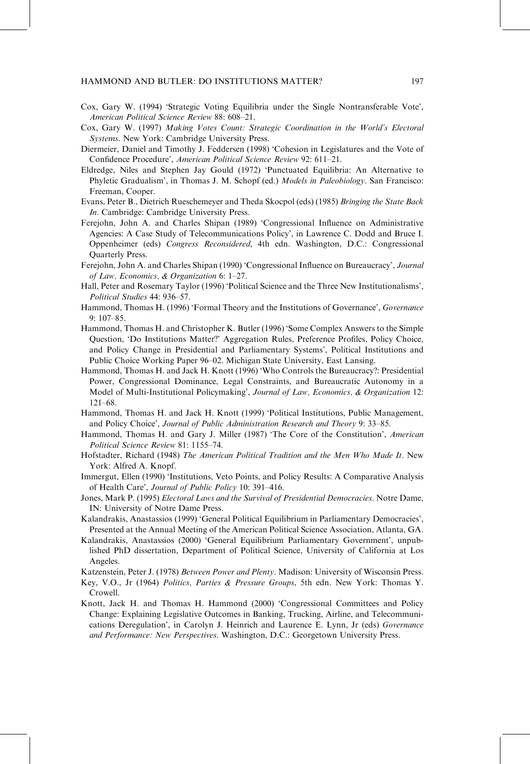- Cox. Gary W. (1994) 'Strategic Voting Equilibria under the Single Nontransferable Vote'. American Political Science Review 88: 608-21.
- Cox, Gary W. (1997) Making Votes Count: Strategic Coordination in the World's Electoral Systems. New York: Cambridge University Press.
- Diermeier, Daniel and Timothy J. Feddersen (1998) 'Cohesion in Legislatures and the Vote of Confidence Procedure', American Political Science Review 92: 611-21.
- Eldredge, Niles and Stephen Jay Gould (1972) 'Punctuated Equilibria: An Alternative to Phyletic Gradualism', in Thomas J. M. Schopf (ed.) *Models in Paleobiology*. San Francisco: Freeman, Cooper.
- Evans, Peter B., Dietrich Rueschemeyer and Theda Skocpol (eds) (1985) Bringing the State Back In. Cambridge: Cambridge University Press.
- Ferejohn, John A. and Charles Shipan (1989) 'Congressional Influence on Administrative Agencies: A Case Study of Telecommunications Policy', in Lawrence C. Dodd and Bruce I. Oppenheimer (eds) Congress Reconsidered, 4th edn. Washington, D.C.: Congressional **Ouarterly Press.**
- Ferejohn, John A. and Charles Shipan (1990) 'Congressional Influence on Bureaucracy', Journal of Law, Economics, & Organization 6:  $1-27$ .
- Hall, Peter and Rosemary Taylor (1996) 'Political Science and the Three New Institutionalisms', Political Studies 44: 936-57.
- Hammond, Thomas H. (1996) 'Formal Theory and the Institutions of Governance', Governance  $9:107 - 85.$
- Hammond, Thomas H. and Christopher K. Butler (1996) 'Some Complex Answers to the Simple Question, 'Do Institutions Matter?' Aggregation Rules, Preference Profiles, Policy Choice, and Policy Change in Presidential and Parliamentary Systems', Political Institutions and Public Choice Working Paper 96–02. Michigan State University, East Lansing.
- Hammond, Thomas H. and Jack H. Knott (1996) 'Who Controls the Bureaucracy?: Presidential Power, Congressional Dominance, Legal Constraints, and Bureaucratic Autonomy in a Model of Multi-Institutional Policymaking', Journal of Law, Economics, & Organization 12:  $121 - 68$
- Hammond, Thomas H. and Jack H. Knott (1999) 'Political Institutions, Public Management, and Policy Choice', Journal of Public Administration Research and Theory 9: 33–85.
- Hammond, Thomas H. and Gary J. Miller (1987) 'The Core of the Constitution', American Political Science Review 81: 1155–74.
- Hofstadter, Richard (1948) The American Political Tradition and the Men Who Made It. New York: Alfred A. Knopf.
- Immergut, Ellen (1990) 'Institutions, Veto Points, and Policy Results: A Comparative Analysis of Health Care', Journal of Public Policy 10: 391-416.
- Jones, Mark P. (1995) Electoral Laws and the Survival of Presidential Democracies. Notre Dame, IN: University of Notre Dame Press.
- Kalandrakis, Anastassios (1999) 'General Political Equilibrium in Parliamentary Democracies', Presented at the Annual Meeting of the American Political Science Association, Atlanta, GA.
- Kalandrakis, Anastassios (2000) 'General Equilibrium Parliamentary Government', unpublished PhD dissertation, Department of Political Science, University of California at Los Angeles.
- Katzenstein, Peter J. (1978) Between Power and Plenty. Madison: University of Wisconsin Press.
- Key, V.O., Jr (1964) Politics, Parties & Pressure Groups, 5th edn. New York: Thomas Y. Crowell.
- Knott, Jack H. and Thomas H. Hammond (2000) 'Congressional Committees and Policy Change: Explaining Legislative Outcomes in Banking, Trucking, Airline, and Telecommunications Deregulation', in Carolyn J. Heinrich and Laurence E. Lynn, Jr (eds) Governance and Performance: New Perspectives. Washington, D.C.: Georgetown University Press.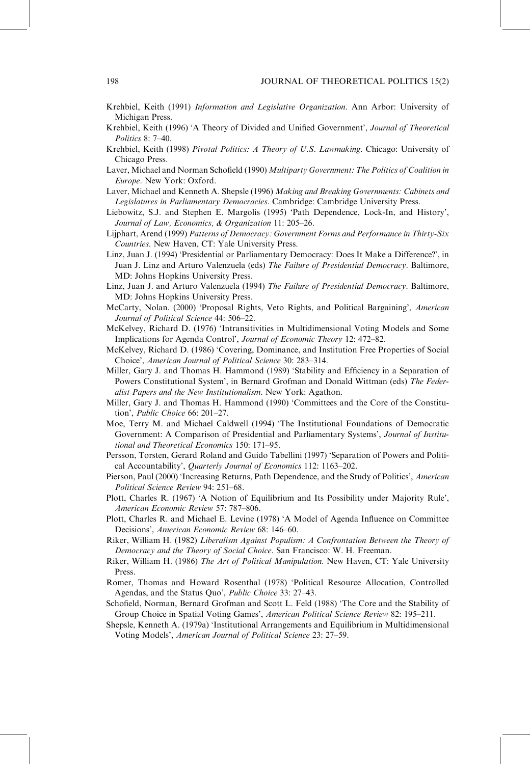- Krehbiel, Keith (1991) Information and Legislative Organization. Ann Arbor: University of Michigan Press.
- Krehbiel, Keith (1996) 'A Theory of Divided and Unified Government', Journal of Theoretical Politics 8: 7-40.
- Krehbiel, Keith (1998) Pivotal Politics: A Theory of U.S. Lawmaking. Chicago: University of Chicago Press.
- Laver, Michael and Norman Schofield (1990) Multiparty Government: The Politics of Coalition in Europe. New York: Oxford.
- Laver, Michael and Kenneth A. Shepsle (1996) Making and Breaking Governments: Cabinets and Legislatures in Parliamentary Democracies. Cambridge: Cambridge University Press.
- Liebowitz, S.J. and Stephen E. Margolis (1995) 'Path Dependence, Lock-In, and History', Journal of Law, Economics, & Organization 11: 205-26.
- Lijphart, Arend (1999) Patterns of Democracy: Government Forms and Performance in Thirty-Six Countries. New Haven, CT: Yale University Press.
- Linz, Juan J. (1994) 'Presidential or Parliamentary Democracy: Does It Make a Difference?', in Juan J. Linz and Arturo Valenzuela (eds) The Failure of Presidential Democracy. Baltimore, MD: Johns Hopkins University Press.
- Linz, Juan J. and Arturo Valenzuela (1994) The Failure of Presidential Democracy. Baltimore, MD: Johns Hopkins University Press.
- McCarty, Nolan. (2000) 'Proposal Rights, Veto Rights, and Political Bargaining', American Journal of Political Science 44: 506-22.
- McKelvey, Richard D. (1976) 'Intransitivities in Multidimensional Voting Models and Some Implications for Agenda Control', Journal of Economic Theory 12: 472-82.
- McKelvey, Richard D. (1986) 'Covering, Dominance, and Institution Free Properties of Social Choice', American Journal of Political Science 30: 283–314.
- Miller, Gary J. and Thomas H. Hammond (1989) 'Stability and Efficiency in a Separation of Powers Constitutional System', in Bernard Grofman and Donald Wittman (eds) The Federalist Papers and the New Institutionalism. New York: Agathon.
- Miller, Gary J. and Thomas H. Hammond (1990) 'Committees and the Core of the Constitution', Public Choice 66: 201-27.
- Moe, Terry M. and Michael Caldwell (1994) 'The Institutional Foundations of Democratic Government: A Comparison of Presidential and Parliamentary Systems', Journal of Institutional and Theoretical Economics 150: 171–95.
- Persson, Torsten, Gerard Roland and Guido Tabellini (1997) 'Separation of Powers and Political Accountability', Quarterly Journal of Economics 112: 1163-202.
- Pierson, Paul (2000) 'Increasing Returns, Path Dependence, and the Study of Politics', American Political Science Review 94: 251-68.
- Plott, Charles R. (1967) 'A Notion of Equilibrium and Its Possibility under Majority Rule', American Economic Review 57: 787-806.
- Plott, Charles R. and Michael E. Levine (1978) 'A Model of Agenda Influence on Committee Decisions', American Economic Review 68: 146-60.
- Riker, William H. (1982) Liberalism Against Populism: A Confrontation Between the Theory of Democracy and the Theory of Social Choice. San Francisco: W. H. Freeman.
- Riker, William H. (1986) The Art of Political Manipulation. New Haven, CT: Yale University Press
- Romer, Thomas and Howard Rosenthal (1978) 'Political Resource Allocation, Controlled Agendas, and the Status Quo', Public Choice 33: 27-43.
- Schofield, Norman, Bernard Grofman and Scott L. Feld (1988) 'The Core and the Stability of Group Choice in Spatial Voting Games', American Political Science Review 82: 195-211.
- Shepsle, Kenneth A. (1979a) 'Institutional Arrangements and Equilibrium in Multidimensional Voting Models', American Journal of Political Science 23: 27-59.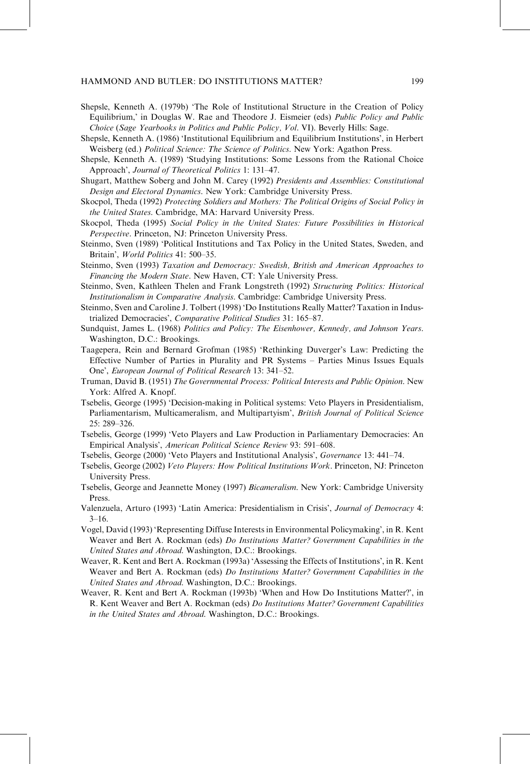- Shepsle, Kenneth A. (1979b) 'The Role of Institutional Structure in the Creation of Policy Equilibrium,' in Douglas W. Rae and Theodore J. Eismeier (eds) Public Policy and Public Choice (Sage Yearbooks in Politics and Public Policy, Vol. VI). Beverly Hills: Sage.
- Shepsle, Kenneth A. (1986) 'Institutional Equilibrium and Equilibrium Institutions', in Herbert Weisberg (ed.) Political Science: The Science of Politics. New York: Agathon Press.
- Shepsle, Kenneth A. (1989) 'Studying Institutions: Some Lessons from the Rational Choice Approach', Journal of Theoretical Politics 1: 131-47.
- Shugart, Matthew Soberg and John M. Carey (1992) Presidents and Assemblies: Constitutional Design and Electoral Dynamics. New York: Cambridge University Press.
- Skocpol, Theda (1992) Protecting Soldiers and Mothers: The Political Origins of Social Policy in the United States. Cambridge, MA: Harvard University Press.
- Skocpol, Theda (1995) Social Policy in the United States: Future Possibilities in Historical Perspective. Princeton, NJ: Princeton University Press.
- Steinmo, Sven (1989) 'Political Institutions and Tax Policy in the United States, Sweden, and Britain', World Politics 41: 500-35.
- Steinmo, Sven (1993) Taxation and Democracy: Swedish, British and American Approaches to Financing the Modern State. New Haven, CT: Yale University Press.
- Steinmo, Sven, Kathleen Thelen and Frank Longstreth (1992) Structuring Politics: Historical Institutionalism in Comparative Analysis. Cambridge: Cambridge University Press.
- Steinmo, Sven and Caroline J. Tolbert (1998) 'Do Institutions Really Matter? Taxation in Industrialized Democracies', Comparative Political Studies 31: 165–87.
- Sundquist, James L. (1968) Politics and Policy: The Eisenhower, Kennedy, and Johnson Years. Washington, D.C.: Brookings.
- Taagepera, Rein and Bernard Grofman (1985) 'Rethinking Duverger's Law: Predicting the Effective Number of Parties in Plurality and PR Systems – Parties Minus Issues Equals One', European Journal of Political Research 13: 341-52.
- Truman, David B. (1951) The Governmental Process: Political Interests and Public Opinion. New York: Alfred A. Knopf.
- Tsebelis, George (1995) 'Decision-making in Political systems: Veto Players in Presidentialism, Parliamentarism, Multicameralism, and Multipartyism', British Journal of Political Science  $25: 289 - 326.$
- Tsebelis, George (1999) 'Veto Players and Law Production in Parliamentary Democracies: An Empirical Analysis', American Political Science Review 93: 591–608.
- Tsebelis, George (2000) 'Veto Players and Institutional Analysis', Governance 13: 441–74.
- Tsebelis, George (2002) Veto Players: How Political Institutions Work. Princeton, NJ: Princeton University Press.
- Tsebelis, George and Jeannette Money (1997) Bicameralism. New York: Cambridge University Press
- Valenzuela, Arturo (1993) 'Latin America: Presidentialism in Crisis', Journal of Democracy 4:  $3 - 16$ .
- Vogel, David (1993) 'Representing Diffuse Interests in Environmental Policymaking', in R. Kent Weaver and Bert A. Rockman (eds) Do Institutions Matter? Government Capabilities in the United States and Abroad. Washington, D.C.: Brookings.
- Weaver, R. Kent and Bert A. Rockman (1993a) 'Assessing the Effects of Institutions', in R. Kent Weaver and Bert A. Rockman (eds) Do Institutions Matter? Government Capabilities in the United States and Abroad. Washington, D.C.: Brookings.
- Weaver, R. Kent and Bert A. Rockman (1993b) 'When and How Do Institutions Matter?', in R. Kent Weaver and Bert A. Rockman (eds) Do Institutions Matter? Government Capabilities in the United States and Abroad. Washington, D.C.: Brookings.